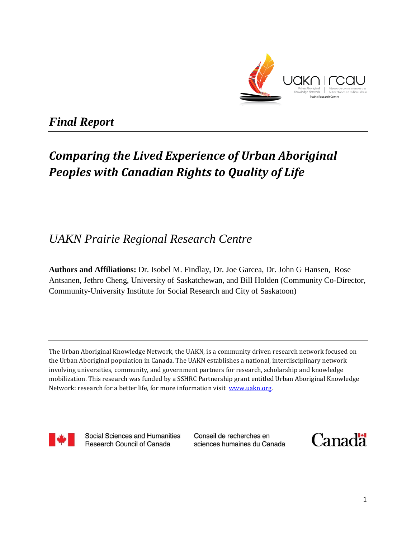

*Final Report* 

# *Comparing the Lived Experience of Urban Aboriginal Peoples with Canadian Rights to Quality of Life*

# *UAKN Prairie Regional Research Centre*

**Authors and Affiliations:** Dr. Isobel M. Findlay, Dr. Joe Garcea, Dr. John G Hansen, Rose Antsanen, Jethro Cheng, University of Saskatchewan, and Bill Holden (Community Co-Director, Community-University Institute for Social Research and City of Saskatoon)

The Urban Aboriginal Knowledge Network, the UAKN, is a community driven research network focused on the Urban Aboriginal population in Canada. The UAKN establishes a national, interdisciplinary network involving universities, community, and government partners for research, scholarship and knowledge mobilization. This research was funded by a SSHRC Partnership grant entitled Urban Aboriginal Knowledge Network: research for a better life, for more information visit www.uakn.org.



Social Sciences and Humanities **Research Council of Canada** 

Conseil de recherches en sciences humaines du Canada

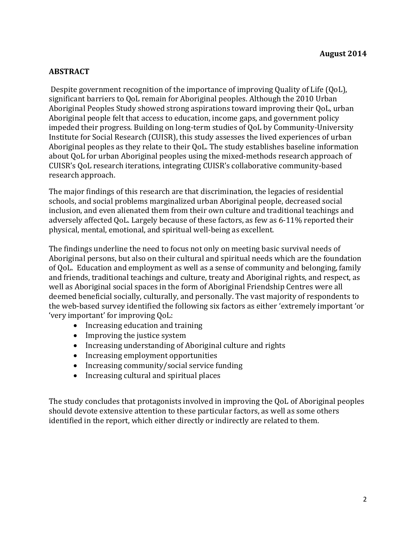## **ABSTRACT**

Despite government recognition of the importance of improving Quality of Life (QoL), significant barriers to QoL remain for Aboriginal peoples. Although the 2010 Urban Aboriginal Peoples Study showed strong aspirations toward improving their QoL, urban Aboriginal people felt that access to education, income gaps, and government policy impeded their progress. Building on long-term studies of QoL by Community-University Institute for Social Research (CUISR), this study assesses the lived experiences of urban Aboriginal peoples as they relate to their QoL. The study establishes baseline information about QoL for urban Aboriginal peoples using the mixed-methods research approach of CUISR's QoL research iterations, integrating CUISR's collaborative community-based research approach.

The major findings of this research are that discrimination, the legacies of residential schools, and social problems marginalized urban Aboriginal people, decreased social inclusion, and even alienated them from their own culture and traditional teachings and adversely affected QoL. Largely because of these factors, as few as 6-11% reported their physical, mental, emotional, and spiritual well-being as excellent.

The findings underline the need to focus not only on meeting basic survival needs of Aboriginal persons, but also on their cultural and spiritual needs which are the foundation of QoL. Education and employment as well as a sense of community and belonging, family and friends, traditional teachings and culture, treaty and Aboriginal rights, and respect, as well as Aboriginal social spaces in the form of Aboriginal Friendship Centres were all deemed beneficial socially, culturally, and personally. The vast majority of respondents to the web-based survey identified the following six factors as either 'extremely important 'or 'very important' for improving QoL:

- Increasing education and training
- Improving the justice system
- Increasing understanding of Aboriginal culture and rights
- Increasing employment opportunities
- Increasing community/social service funding
- Increasing cultural and spiritual places

The study concludes that protagonists involved in improving the QoL of Aboriginal peoples should devote extensive attention to these particular factors, as well as some others identified in the report, which either directly or indirectly are related to them.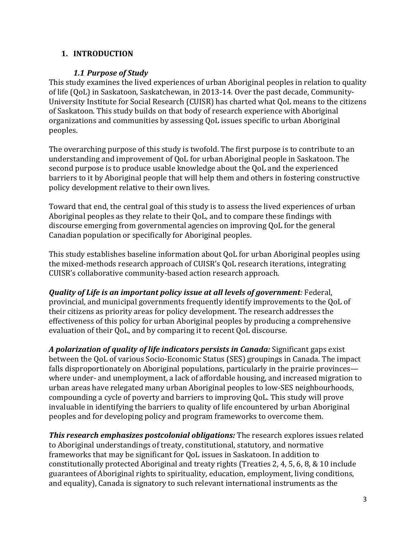## **1. INTRODUCTION**

## *1.1 Purpose of Study*

This study examines the lived experiences of urban Aboriginal peoples in relation to quality of life (QoL) in Saskatoon, Saskatchewan, in 2013-14. Over the past decade, Community-University Institute for Social Research (CUISR) has charted what QoL means to the citizens of Saskatoon. This study builds on that body of research experience with Aboriginal organizations and communities by assessing QoL issues specific to urban Aboriginal peoples.

The overarching purpose of this study is twofold. The first purpose is to contribute to an understanding and improvement of QoL for urban Aboriginal people in Saskatoon. The second purpose is to produce usable knowledge about the QoL and the experienced barriers to it by Aboriginal people that will help them and others in fostering constructive policy development relative to their own lives.

Toward that end, the central goal of this study is to assess the lived experiences of urban Aboriginal peoples as they relate to their QoL, and to compare these findings with discourse emerging from governmental agencies on improving QoL for the general Canadian population or specifically for Aboriginal peoples.

This study establishes baseline information about QoL for urban Aboriginal peoples using the mixed-methods research approach of CUISR's QoL research iterations, integrating CUISR's collaborative community-based action research approach.

*Quality of Life is an important policy issue at all levels of government:* Federal, provincial, and municipal governments frequently identify improvements to the QoL of their citizens as priority areas for policy development. The research addresses the effectiveness of this policy for urban Aboriginal peoples by producing a comprehensive evaluation of their QoL, and by comparing it to recent QoL discourse.

*A polarization of quality of life indicators persists in Canada:* Significant gaps exist between the QoL of various Socio-Economic Status (SES) groupings in Canada. The impact falls disproportionately on Aboriginal populations, particularly in the prairie provinces where under- and unemployment, a lack of affordable housing, and increased migration to urban areas have relegated many urban Aboriginal peoples to low-SES neighbourhoods, compounding a cycle of poverty and barriers to improving QoL. This study will prove invaluable in identifying the barriers to quality of life encountered by urban Aboriginal peoples and for developing policy and program frameworks to overcome them.

*This research emphasizes postcolonial obligations:* The research explores issues related to Aboriginal understandings of treaty, constitutional, statutory, and normative frameworks that may be significant for QoL issues in Saskatoon. In addition to constitutionally protected Aboriginal and treaty rights (Treaties 2, 4, 5, 6, 8, & 10 include guarantees of Aboriginal rights to spirituality, education, employment, living conditions, and equality), Canada is signatory to such relevant international instruments as the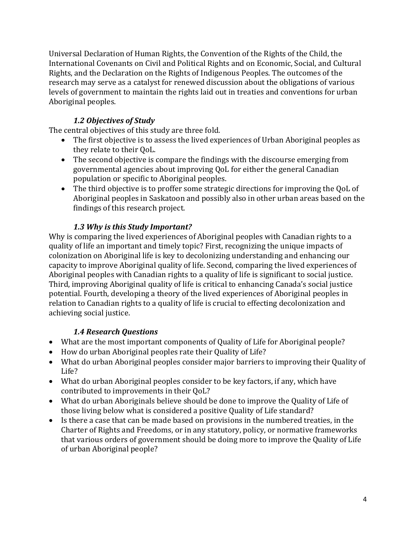Universal Declaration of Human Rights, the Convention of the Rights of the Child, the International Covenants on Civil and Political Rights and on Economic, Social, and Cultural Rights, and the Declaration on the Rights of Indigenous Peoples. The outcomes of the research may serve as a catalyst for renewed discussion about the obligations of various levels of government to maintain the rights laid out in treaties and conventions for urban Aboriginal peoples.

# *1.2 Objectives of Study*

The central objectives of this study are three fold.

- The first objective is to assess the lived experiences of Urban Aboriginal peoples as they relate to their QoL.
- The second objective is compare the findings with the discourse emerging from governmental agencies about improving QoL for either the general Canadian population or specific to Aboriginal peoples.
- The third objective is to proffer some strategic directions for improving the QoL of Aboriginal peoples in Saskatoon and possibly also in other urban areas based on the findings of this research project.

# *1.3 Why is this Study Important?*

Why is comparing the lived experiences of Aboriginal peoples with Canadian rights to a quality of life an important and timely topic? First, recognizing the unique impacts of colonization on Aboriginal life is key to decolonizing understanding and enhancing our capacity to improve Aboriginal quality of life. Second, comparing the lived experiences of Aboriginal peoples with Canadian rights to a quality of life is significant to social justice. Third, improving Aboriginal quality of life is critical to enhancing Canada's social justice potential. Fourth, developing a theory of the lived experiences of Aboriginal peoples in relation to Canadian rights to a quality of life is crucial to effecting decolonization and achieving social justice.

# *1.4 Research Questions*

- What are the most important components of Quality of Life for Aboriginal people?
- How do urban Aboriginal peoples rate their Quality of Life?
- What do urban Aboriginal peoples consider major barriers to improving their Quality of Life?
- What do urban Aboriginal peoples consider to be key factors, if any, which have contributed to improvements in their QoL?
- What do urban Aboriginals believe should be done to improve the Quality of Life of those living below what is considered a positive Quality of Life standard?
- Is there a case that can be made based on provisions in the numbered treaties, in the Charter of Rights and Freedoms, or in any statutory, policy, or normative frameworks that various orders of government should be doing more to improve the Quality of Life of urban Aboriginal people?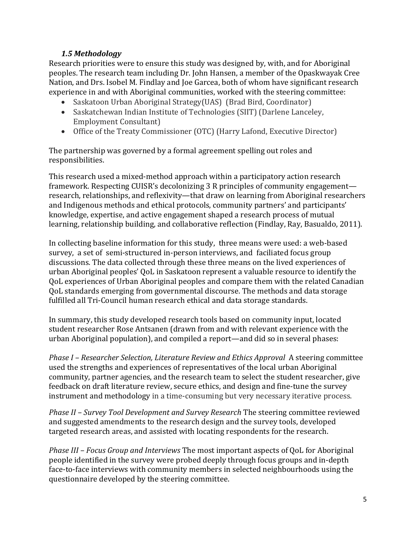## *1.5 Methodology*

Research priorities were to ensure this study was designed by, with, and for Aboriginal peoples. The research team including Dr. John Hansen, a member of the Opaskwayak Cree Nation, and Drs. Isobel M. Findlay and Joe Garcea, both of whom have significant research experience in and with Aboriginal communities, worked with the steering committee:

- Saskatoon Urban Aboriginal Strategy(UAS) (Brad Bird, Coordinator)
- Saskatchewan Indian Institute of Technologies (SIIT) (Darlene Lanceley, Employment Consultant)
- Office of the Treaty Commissioner (OTC) (Harry Lafond, Executive Director)

The partnership was governed by a formal agreement spelling out roles and responsibilities.

This research used a mixed-method approach within a participatory action research framework. Respecting CUISR's decolonizing 3 R principles of community engagement research, relationships, and reflexivity—that draw on learning from Aboriginal researchers and Indigenous methods and ethical protocols, community partners' and participants' knowledge, expertise, and active engagement shaped a research process of mutual learning, relationship building, and collaborative reflection (Findlay, Ray, Basualdo, 2011).

In collecting baseline information for this study, three means were used: a web-based survey, a set of semi-structured in-person interviews, and faciliated focus group discussions. The data collected through these three means on the lived experiences of urban Aboriginal peoples' QoL in Saskatoon represent a valuable resource to identify the QoL experiences of Urban Aboriginal peoples and compare them with the related Canadian QoL standards emerging from governmental discourse. The methods and data storage fulfilled all Tri-Council human research ethical and data storage standards.

In summary, this study developed research tools based on community input, located student researcher Rose Antsanen (drawn from and with relevant experience with the urban Aboriginal population), and compiled a report—and did so in several phases:

*Phase I – Researcher Selection, Literature Review and Ethics Approval* A steering committee used the strengths and experiences of representatives of the local urban Aboriginal community, partner agencies, and the research team to select the student researcher, give feedback on draft literature review, secure ethics, and design and fine-tune the survey instrument and methodology in a time-consuming but very necessary iterative process.

*Phase II – Survey Tool Development and Survey Research* The steering committee reviewed and suggested amendments to the research design and the survey tools, developed targeted research areas, and assisted with locating respondents for the research.

*Phase III – Focus Group and Interviews* The most important aspects of QoL for Aboriginal people identified in the survey were probed deeply through focus groups and in-depth face-to-face interviews with community members in selected neighbourhoods using the questionnaire developed by the steering committee.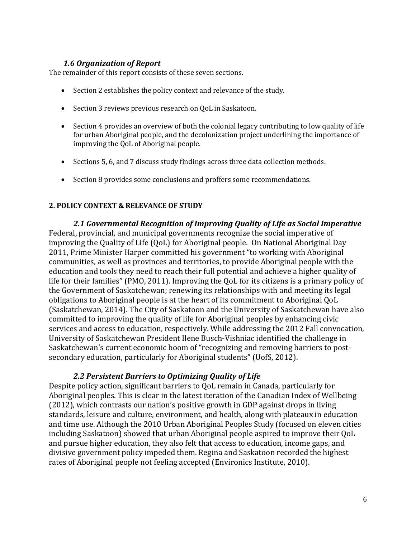#### *1.6 Organization of Report*

The remainder of this report consists of these seven sections.

- Section 2 establishes the policy context and relevance of the study.
- Section 3 reviews previous research on QoL in Saskatoon.
- Section 4 provides an overview of both the colonial legacy contributing to low quality of life for urban Aboriginal people, and the decolonization project underlining the importance of improving the QoL of Aboriginal people.
- Sections 5, 6, and 7 discuss study findings across three data collection methods.
- Section 8 provides some conclusions and proffers some recommendations.

#### **2. POLICY CONTEXT & RELEVANCE OF STUDY**

*2.1 Governmental Recognition of Improving Quality of Life as Social Imperative* Federal, provincial, and municipal governments recognize the social imperative of improving the Quality of Life (QoL) for Aboriginal people. On National Aboriginal Day 2011, Prime Minister Harper committed his government "to working with Aboriginal communities, as well as provinces and territories, to provide Aboriginal people with the education and tools they need to reach their full potential and achieve a higher quality of life for their families" (PMO, 2011). Improving the QoL for its citizens is a primary policy of the Government of Saskatchewan; renewing its relationships with and meeting its legal obligations to Aboriginal people is at the heart of its commitment to Aboriginal QoL (Saskatchewan, 2014). The City of Saskatoon and the University of Saskatchewan have also committed to improving the quality of life for Aboriginal peoples by enhancing civic services and access to education, respectively. While addressing the 2012 Fall convocation, University of Saskatchewan President Ilene Busch-Vishniac identified the challenge in Saskatchewan's current economic boom of "recognizing and removing barriers to postsecondary education, particularly for Aboriginal students" (UofS, 2012).

#### *2.2 Persistent Barriers to Optimizing Quality of Life*

Despite policy action, significant barriers to QoL remain in Canada, particularly for Aboriginal peoples. This is clear in the latest iteration of the Canadian Index of Wellbeing (2012), which contrasts our nation's positive growth in GDP against drops in living standards, leisure and culture, environment, and health, along with plateaux in education and time use. Although the 2010 Urban Aboriginal Peoples Study (focused on eleven cities including Saskatoon) showed that urban Aboriginal people aspired to improve their QoL and pursue higher education, they also felt that access to education, income gaps, and divisive government policy impeded them. Regina and Saskatoon recorded the highest rates of Aboriginal people not feeling accepted (Environics Institute, 2010).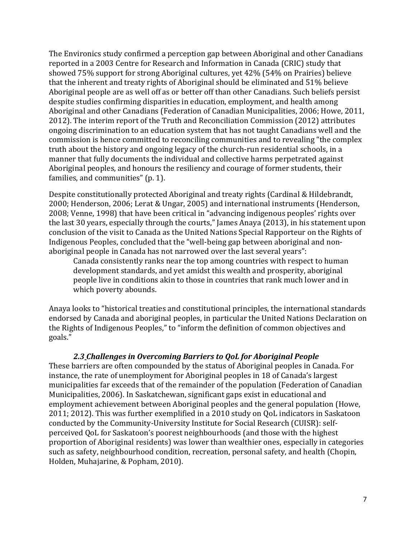The Environics study confirmed a perception gap between Aboriginal and other Canadians reported in a 2003 Centre for Research and Information in Canada (CRIC) study that showed 75% support for strong Aboriginal cultures, yet 42% (54% on Prairies) believe that the inherent and treaty rights of Aboriginal should be eliminated and 51% believe Aboriginal people are as well off as or better off than other Canadians. Such beliefs persist despite studies confirming disparities in education, employment, and health among Aboriginal and other Canadians (Federation of Canadian Municipalities, 2006; Howe, 2011, 2012). The interim report of the Truth and Reconciliation Commission (2012) attributes ongoing discrimination to an education system that has not taught Canadians well and the commission is hence committed to reconciling communities and to revealing "the complex truth about the history and ongoing legacy of the church-run residential schools, in a manner that fully documents the individual and collective harms perpetrated against Aboriginal peoples, and honours the resiliency and courage of former students, their families, and communities" (p. 1).

Despite constitutionally protected Aboriginal and treaty rights (Cardinal & Hildebrandt, 2000; Henderson, 2006; Lerat & Ungar, 2005) and international instruments (Henderson, 2008; Venne, 1998) that have been critical in "advancing indigenous peoples' rights over the last 30 years, especially through the courts," James Anaya (2013), in his statement upon conclusion of the visit to Canada as the United Nations Special Rapporteur on the Rights of Indigenous Peoples, concluded that the "well-being gap between aboriginal and nonaboriginal people in Canada has not narrowed over the last several years":

Canada consistently ranks near the top among countries with respect to human development standards, and yet amidst this wealth and prosperity, aboriginal people live in conditions akin to those in countries that rank much lower and in which poverty abounds.

Anaya looks to "historical treaties and constitutional principles, the international standards endorsed by Canada and aboriginal peoples, in particular the United Nations Declaration on the Rights of Indigenous Peoples," to "inform the definition of common objectives and goals."

#### *2.3 Challenges in Overcoming Barriers to QoL for Aboriginal People*

These barriers are often compounded by the status of Aboriginal peoples in Canada. For instance, the rate of unemployment for Aboriginal peoples in 18 of Canada's largest municipalities far exceeds that of the remainder of the population (Federation of Canadian Municipalities, 2006). In Saskatchewan, significant gaps exist in educational and employment achievement between Aboriginal peoples and the general population (Howe, 2011; 2012). This was further exemplified in a 2010 study on QoL indicators in Saskatoon conducted by the Community-University Institute for Social Research (CUISR): selfperceived QoL for Saskatoon's poorest neighbourhoods (and those with the highest proportion of Aboriginal residents) was lower than wealthier ones, especially in categories such as safety, neighbourhood condition, recreation, personal safety, and health (Chopin, Holden, Muhajarine, & Popham, 2010).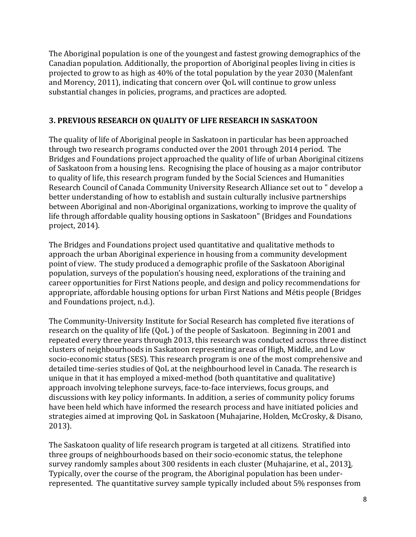The Aboriginal population is one of the youngest and fastest growing demographics of the Canadian population. Additionally, the proportion of Aboriginal peoples living in cities is projected to grow to as high as 40% of the total population by the year 2030 (Malenfant and Morency, 2011), indicating that concern over QoL will continue to grow unless substantial changes in policies, programs, and practices are adopted.

## **3. PREVIOUS RESEARCH ON QUALITY OF LIFE RESEARCH IN SASKATOON**

The quality of life of Aboriginal people in Saskatoon in particular has been approached through two research programs conducted over the 2001 through 2014 period. [The](http://bridgesandfoundations.usask.ca/)  [Bridges and Foundations](http://bridgesandfoundations.usask.ca/) project approached the quality of life of urban Aboriginal citizens of Saskatoon from a housing lens. Recognising the place of housing as a major contributor to quality of life, this research program funded by the Social Sciences and Humanities Research Council of Canada Community University Research Alliance set out to " develop a better understanding of how to establish and sustain culturally inclusive partnerships between Aboriginal and non-Aboriginal organizations, working to improve the quality of life through affordable quality housing options in Saskatoon" (Bridges and Foundations project, 2014).

The Bridges and Foundations project used quantitative and qualitative methods to approach the urban Aboriginal experience in housing from a community development point of view. The study produced a demographic profile of the Saskatoon Aboriginal population, surveys of the population's housing need, explorations of the training and career opportunities for First Nations people, and design and policy recommendations for appropriate, affordable housing options for urban First Nations and Métis people (Bridges and Foundations project, n.d.).

The Community-University Institute for Social Research has completed five iterations of research on the quality of life (QoL ) of the people of Saskatoon. Beginning in 2001 and repeated every three years through 2013, this research was conducted across three distinct clusters of neighbourhoods in Saskatoon representing areas of High, Middle, and Low socio-economic status (SES). This research program is one of the most comprehensive and detailed time-series studies of QoL at the neighbourhood level in Canada. The research is unique in that it has employed a mixed-method (both quantitative and qualitative) approach involving telephone surveys, face-to-face interviews, focus groups, and discussions with key policy informants. In addition, a series of community policy forums have been held which have informed the research process and have initiated policies and strategies aimed at improving QoL in Saskatoon (Muhajarine, Holden, McCrosky, & Disano, 2013).

The Saskatoon quality of life research program is targeted at all citizens. Stratified into three groups of neighbourhoods based on their socio-economic status, the telephone survey randomly samples about 300 residents in each cluster (Muhajarine, et al., 2013). Typically, over the course of the program, the Aboriginal population has been underrepresented. The quantitative survey sample typically included about 5% responses from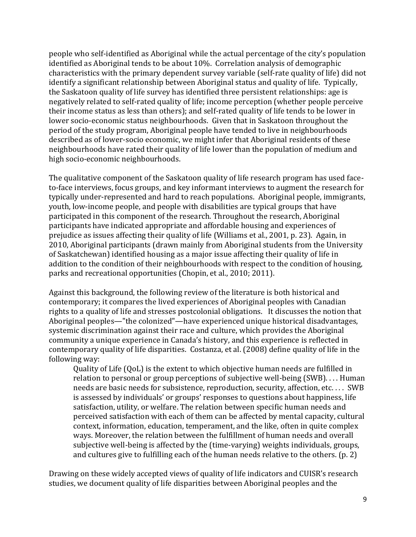people who self-identified as Aboriginal while the actual percentage of the city's population identified as Aboriginal tends to be about 10%. Correlation analysis of demographic characteristics with the primary dependent survey variable (self-rate quality of life) did not identify a significant relationship between Aboriginal status and quality of life. Typically, the Saskatoon quality of life survey has identified three persistent relationships: age is negatively related to self-rated quality of life; income perception (whether people perceive their income status as less than others); and self-rated quality of life tends to be lower in lower socio-economic status neighbourhoods. Given that in Saskatoon throughout the period of the study program, Aboriginal people have tended to live in neighbourhoods described as of lower-socio economic, we might infer that Aboriginal residents of these neighbourhoods have rated their quality of life lower than the population of medium and high socio-economic neighbourhoods.

The qualitative component of the Saskatoon quality of life research program has used faceto-face interviews, focus groups, and key informant interviews to augment the research for typically under-represented and hard to reach populations. Aboriginal people, immigrants, youth, low-income people, and people with disabilities are typical groups that have participated in this component of the research. Throughout the research, Aboriginal participants have indicated appropriate and affordable housing and experiences of prejudice as issues affecting their quality of life (Williams et al., 2001, p. 23). Again, in 2010, Aboriginal participants (drawn mainly from Aboriginal students from the University of Saskatchewan) identified housing as a major issue affecting their quality of life in addition to the condition of their neighbourhoods with respect to the condition of housing, parks and recreational opportunities (Chopin, et al., 2010; 2011).

Against this background, the following review of the literature is both historical and contemporary; it compares the lived experiences of Aboriginal peoples with Canadian rights to a quality of life and stresses postcolonial obligations. It discusses the notion that Aboriginal peoples—"the colonized"—have experienced unique historical disadvantages, systemic discrimination against their race and culture, which provides the Aboriginal community a unique experience in Canada's history, and this experience is reflected in contemporary quality of life disparities. Costanza, et al. (2008) define quality of life in the following way:

Quality of Life (QoL) is the extent to which objective human needs are fulfilled in relation to personal or group perceptions of subjective well-being (SWB). . . . Human needs are basic needs for subsistence, reproduction, security, affection, etc. . . . SWB is assessed by individuals' or groups' responses to questions about happiness, life satisfaction, utility, or welfare. The relation between specific human needs and perceived satisfaction with each of them can be affected by mental capacity, cultural context, information, education, temperament, and the like, often in quite complex ways. Moreover, the relation between the fulfillment of human needs and overall subjective well-being is affected by the (time-varying) weights individuals, groups, and cultures give to fulfilling each of the human needs relative to the others. (p. 2)

Drawing on these widely accepted views of quality of life indicators and CUISR's research studies, we document quality of life disparities between Aboriginal peoples and the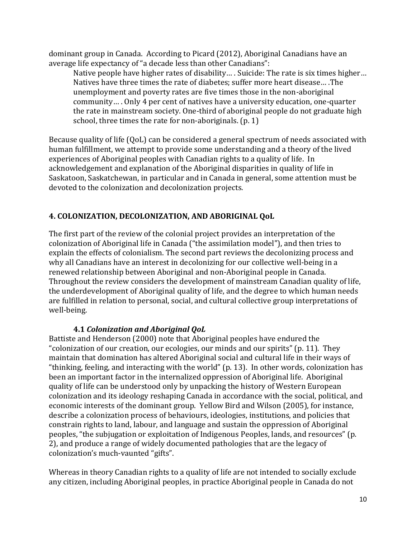dominant group in Canada. According to Picard (2012), Aboriginal Canadians have an average life expectancy of "a decade less than other Canadians":

Native people have higher rates of disability… . Suicide: The rate is six times higher… Natives have three times the rate of diabetes; suffer more heart disease… .The unemployment and poverty rates are five times those in the non-aboriginal community… . Only 4 per cent of natives have a university education, one-quarter the rate in mainstream society. One-third of aboriginal people do not graduate high school, three times the rate for non-aboriginals. (p. 1)

Because quality of life (QoL) can be considered a general spectrum of needs associated with human fulfillment, we attempt to provide some understanding and a theory of the lived experiences of Aboriginal peoples with Canadian rights to a quality of life. In acknowledgement and explanation of the Aboriginal disparities in quality of life in Saskatoon, Saskatchewan, in particular and in Canada in general, some attention must be devoted to the colonization and decolonization projects.

# **4. COLONIZATION, DECOLONIZATION, AND ABORIGINAL QoL**

The first part of the review of the colonial project provides an interpretation of the colonization of Aboriginal life in Canada ("the assimilation model"), and then tries to explain the effects of colonialism. The second part reviews the decolonizing process and why all Canadians have an interest in decolonizing for our collective well-being in a renewed relationship between Aboriginal and non-Aboriginal people in Canada. Throughout the review considers the development of mainstream Canadian quality of life, the underdevelopment of Aboriginal quality of life, and the degree to which human needs are fulfilled in relation to personal, social, and cultural collective group interpretations of well-being.

# **4.1** *Colonization and Aboriginal QoL*

Battiste and Henderson (2000) note that Aboriginal peoples have endured the "colonization of our creation, our ecologies, our minds and our spirits" (p. 11). They maintain that domination has altered Aboriginal social and cultural life in their ways of "thinking, feeling, and interacting with the world" (p. 13). In other words, colonization has been an important factor in the internalized oppression of Aboriginal life. Aboriginal quality of life can be understood only by unpacking the history of Western European colonization and its ideology reshaping Canada in accordance with the social, political, and economic interests of the dominant group. Yellow Bird and Wilson (2005), for instance, describe a colonization process of behaviours, ideologies, institutions, and policies that constrain rights to land, labour, and language and sustain the oppression of Aboriginal peoples, "the subjugation or exploitation of Indigenous Peoples, lands, and resources" (p. 2), and produce a range of widely documented pathologies that are the legacy of colonization's much-vaunted "gifts".

Whereas in theory Canadian rights to a quality of life are not intended to socially exclude any citizen, including Aboriginal peoples, in practice Aboriginal people in Canada do not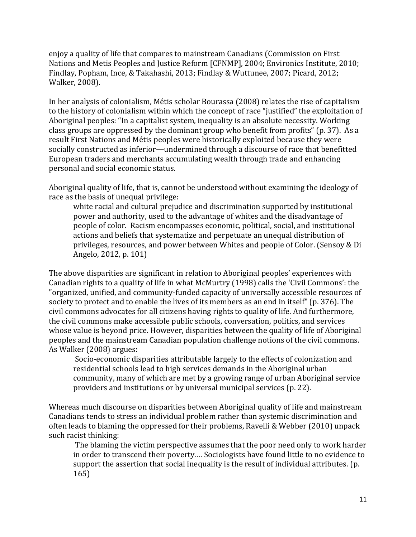enjoy a quality of life that compares to mainstream Canadians (Commission on First Nations and Metis Peoples and Justice Reform [CFNMP], 2004; Environics Institute, 2010; Findlay, Popham, Ince, & Takahashi, 2013; Findlay & Wuttunee, 2007; Picard, 2012; Walker, 2008).

In her analysis of colonialism, Métis scholar Bourassa (2008) relates the rise of capitalism to the history of colonialism within which the concept of race "justified" the exploitation of Aboriginal peoples: "In a capitalist system, inequality is an absolute necessity. Working class groups are oppressed by the dominant group who benefit from profits" (p. 37). As a result First Nations and Métis peoples were historically exploited because they were socially constructed as inferior—undermined through a discourse of race that benefitted European traders and merchants accumulating wealth through trade and enhancing personal and social economic status.

Aboriginal quality of life, that is, cannot be understood without examining the ideology of race as the basis of unequal privilege:

white racial and cultural prejudice and discrimination supported by institutional power and authority, used to the advantage of whites and the disadvantage of people of color. Racism encompasses economic, political, social, and institutional actions and beliefs that systematize and perpetuate an unequal distribution of privileges, resources, and power between Whites and people of Color. (Sensoy & Di Angelo, 2012, p. 101)

The above disparities are significant in relation to Aboriginal peoples' experiences with Canadian rights to a quality of life in what McMurtry (1998) calls the 'Civil Commons': the "organized, unified, and community-funded capacity of universally accessible resources of society to protect and to enable the lives of its members as an end in itself" (p. 376). The civil commons advocates for all citizens having rights to quality of life. And furthermore, the civil commons make accessible public schools, conversation, politics, and services whose value is beyond price. However, disparities between the quality of life of Aboriginal peoples and the mainstream Canadian population challenge notions of the civil commons. As Walker (2008) argues:

Socio-economic disparities attributable largely to the effects of colonization and residential schools lead to high services demands in the Aboriginal urban community, many of which are met by a growing range of urban Aboriginal service providers and institutions or by universal municipal services (p. 22).

Whereas much discourse on disparities between Aboriginal quality of life and mainstream Canadians tends to stress an individual problem rather than systemic discrimination and often leads to blaming the oppressed for their problems, Ravelli & Webber (2010) unpack such racist thinking:

The blaming the victim perspective assumes that the poor need only to work harder in order to transcend their poverty…. Sociologists have found little to no evidence to support the assertion that social inequality is the result of individual attributes. (p. 165)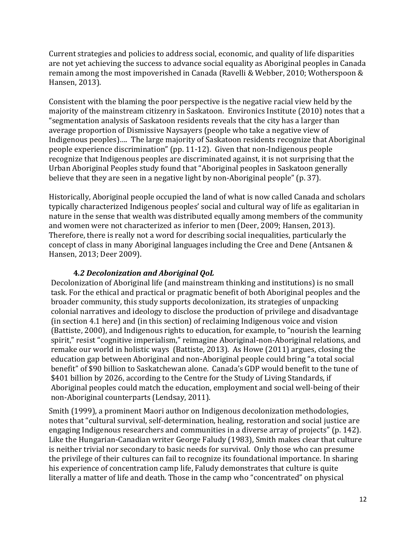Current strategies and policies to address social, economic, and quality of life disparities are not yet achieving the success to advance social equality as Aboriginal peoples in Canada remain among the most impoverished in Canada (Ravelli & Webber, 2010; Wotherspoon & Hansen, 2013).

Consistent with the blaming the poor perspective is the negative racial view held by the majority of the mainstream citizenry in Saskatoon. Environics Institute (2010) notes that a "segmentation analysis of Saskatoon residents reveals that the city has a larger than average proportion of Dismissive Naysayers (people who take a negative view of Indigenous peoples)…. The large majority of Saskatoon residents recognize that Aboriginal people experience discrimination" (pp. 11-12). Given that non-Indigenous people recognize that Indigenous peoples are discriminated against, it is not surprising that the Urban Aboriginal Peoples study found that "Aboriginal peoples in Saskatoon generally believe that they are seen in a negative light by non-Aboriginal people" (p. 37).

Historically, Aboriginal people occupied the land of what is now called Canada and scholars typically characterized Indigenous peoples' social and cultural way of life as egalitarian in nature in the sense that wealth was distributed equally among members of the community and women were not characterized as inferior to men (Deer, 2009; Hansen, 2013). Therefore, there is really not a word for describing social inequalities, particularly the concept of class in many Aboriginal languages including the Cree and Dene (Antsanen & Hansen, 2013; Deer 2009).

## **4***.2 Decolonization and Aboriginal QoL*

Decolonization of Aboriginal life (and mainstream thinking and institutions) is no small task. For the ethical and practical or pragmatic benefit of both Aboriginal peoples and the broader community, this study supports decolonization, its strategies of unpacking colonial narratives and ideology to disclose the production of privilege and disadvantage (in section 4.1 here) and (in this section) of reclaiming Indigenous voice and vision (Battiste, 2000), and Indigenous rights to education, for example, to "nourish the learning spirit," resist "cognitive imperialism," reimagine Aboriginal-non-Aboriginal relations, and remake our world in holistic ways (Battiste, 2013). As Howe (2011) argues, closing the education gap between Aboriginal and non-Aboriginal people could bring "a total social benefit" of \$90 billion to Saskatchewan alone. Canada's GDP would benefit to the tune of \$401 billion by 2026, according to the Centre for the Study of Living Standards, if Aboriginal peoples could match the education, employment and social well-being of their non-Aboriginal counterparts (Lendsay, 2011).

Smith (1999), a prominent Maori author on Indigenous decolonization methodologies, notes that "cultural survival, self-determination, healing, restoration and social justice are engaging Indigenous researchers and communities in a diverse array of projects" (p. 142). Like the Hungarian-Canadian writer George Faludy (1983), Smith makes clear that culture is neither trivial nor secondary to basic needs for survival. Only those who can presume the privilege of their cultures can fail to recognize its foundational importance. In sharing his experience of concentration camp life, Faludy demonstrates that culture is quite literally a matter of life and death. Those in the camp who "concentrated" on physical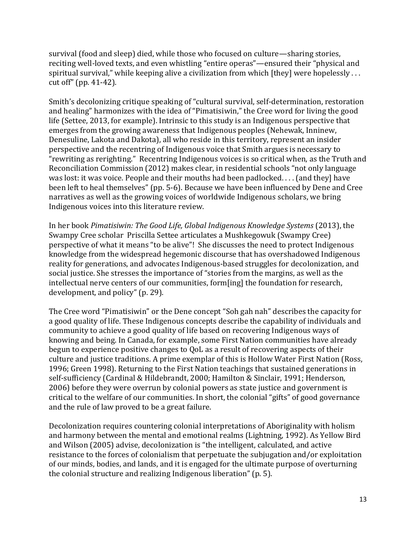survival (food and sleep) died, while those who focused on culture—sharing stories, reciting well-loved texts, and even whistling "entire operas"—ensured their "physical and spiritual survival," while keeping alive a civilization from which [they] were hopelessly ... cut off" (pp. 41-42).

Smith's decolonizing critique speaking of "cultural survival, self-determination, restoration and healing" harmonizes with the idea of "Pimatisiwin," the Cree word for living the good life (Settee, 2013, for example). Intrinsic to this study is an Indigenous perspective that emerges from the growing awareness that Indigenous peoples (Nehewak, Inninew, Denesuline, Lakota and Dakota), all who reside in this territory, represent an insider perspective and the recentring of Indigenous voice that Smith argues is necessary to "rewriting as rerighting." Recentring Indigenous voices is so critical when, as the Truth and Reconciliation Commission (2012) makes clear, in residential schools "not only language was lost: it was voice. People and their mouths had been padlocked. . . . (and they] have been left to heal themselves" (pp. 5-6). Because we have been influenced by Dene and Cree narratives as well as the growing voices of worldwide Indigenous scholars, we bring Indigenous voices into this literature review.

In her book *Pimatisiwin: The Good Life, Global Indigenous Knowledge Systems* (2013), the Swampy Cree scholar Priscilla Settee articulates a Mushkegowuk (Swampy Cree) perspective of what it means "to be alive"! She discusses the need to protect Indigenous knowledge from the widespread hegemonic discourse that has overshadowed Indigenous reality for generations, and advocates Indigenous-based struggles for decolonization, and social justice. She stresses the importance of "stories from the margins, as well as the intellectual nerve centers of our communities, form[ing] the foundation for research, development, and policy" (p. 29).

The Cree word "Pimatisiwin" or the Dene concept "Soh gah nah" describes the capacity for a good quality of life. These Indigenous concepts describe the capability of individuals and community to achieve a good quality of life based on recovering Indigenous ways of knowing and being. In Canada, for example, some First Nation communities have already begun to experience positive changes to QoL as a result of recovering aspects of their culture and justice traditions. A prime exemplar of this is Hollow Water First Nation (Ross, 1996; Green 1998). Returning to the First Nation teachings that sustained generations in self-sufficiency (Cardinal & Hildebrandt, 2000; Hamilton & Sinclair, 1991; Henderson, 2006) before they were overrun by colonial powers as state justice and government is critical to the welfare of our communities. In short, the colonial "gifts" of good governance and the rule of law proved to be a great failure.

Decolonization requires countering colonial interpretations of Aboriginality with holism and harmony between the mental and emotional realms (Lightning, 1992). As Yellow Bird and Wilson (2005) advise, decolonization is "the intelligent, calculated, and active resistance to the forces of colonialism that perpetuate the subjugation and/or exploitation of our minds, bodies, and lands, and it is engaged for the ultimate purpose of overturning the colonial structure and realizing Indigenous liberation" (p. 5).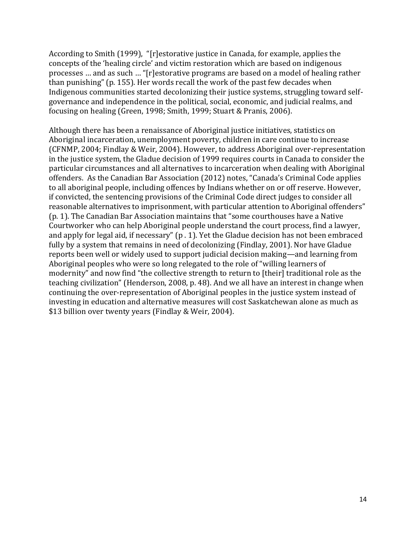According to Smith (1999), "[r]estorative justice in Canada, for example, applies the concepts of the 'healing circle' and victim restoration which are based on indigenous processes … and as such … "[r]estorative programs are based on a model of healing rather than punishing" (p. 155). Her words recall the work of the past few decades when Indigenous communities started decolonizing their justice systems, struggling toward selfgovernance and independence in the political, social, economic, and judicial realms, and focusing on healing (Green, 1998; Smith, 1999; Stuart & Pranis, 2006).

Although there has been a renaissance of Aboriginal justice initiatives, statistics on Aboriginal incarceration, unemployment poverty, children in care continue to increase (CFNMP, 2004; Findlay & Weir, 2004). However, to address Aboriginal over-representation in the justice system, the Gladue decision of 1999 requires courts in Canada to consider the particular circumstances and all alternatives to incarceration when dealing with Aboriginal offenders. As the Canadian Bar Association (2012) notes, "Canada's Criminal Code applies to all aboriginal people, including offences by Indians whether on or off reserve. However, if convicted, the sentencing provisions of the Criminal Code direct judges to consider all reasonable alternatives to imprisonment, with particular attention to Aboriginal offenders" (p. 1). The Canadian Bar Association maintains that "some courthouses have a Native Courtworker who can help Aboriginal people understand the court process, find a lawyer, and apply for legal aid, if necessary" (p . 1). Yet the Gladue decision has not been embraced fully by a system that remains in need of decolonizing (Findlay, 2001). Nor have Gladue reports been well or widely used to support judicial decision making—and learning from Aboriginal peoples who were so long relegated to the role of "willing learners of modernity" and now find "the collective strength to return to [their] traditional role as the teaching civilization" (Henderson, 2008, p. 48). And we all have an interest in change when continuing the over-representation of Aboriginal peoples in the justice system instead of investing in education and alternative measures will cost Saskatchewan alone as much as \$13 billion over twenty years (Findlay & Weir, 2004).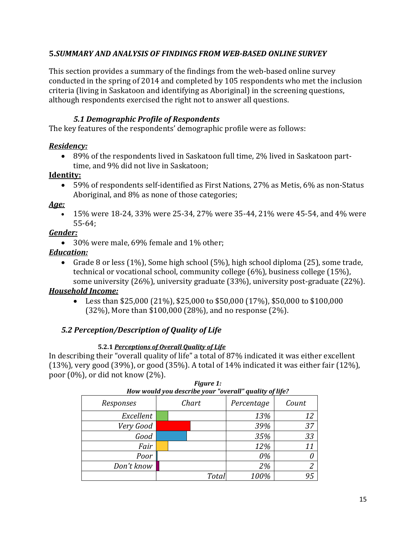## **5.***SUMMARY AND ANALYSIS OF FINDINGS FROM WEB-BASED ONLINE SURVEY*

This section provides a summary of the findings from the web-based online survey conducted in the spring of 2014 and completed by 105 respondents who met the inclusion criteria (living in Saskatoon and identifying as Aboriginal) in the screening questions, although respondents exercised the right not to answer all questions.

## *5.1 Demographic Profile of Respondents*

The key features of the respondents' demographic profile were as follows:

## *Residency:*

 89% of the respondents lived in Saskatoon full time, 2% lived in Saskatoon parttime, and 9% did not live in Saskatoon;

## **Identity:**

 59% of respondents self-identified as First Nations, 27% as Metis, 6% as non-Status Aboriginal, and 8% as none of those categories;

## *Age:*

 15% were 18-24, 33% were 25-34, 27% were 35-44, 21% were 45-54, and 4% were 55-64;

## *Gender:*

• 30% were male, 69% female and 1% other;

## *Education:*

Grade 8 or less  $(1\%)$ , Some high school  $(5\%)$ , high school diploma  $(25)$ , some trade, technical or vocational school, community college (6%), business college (15%), some university (26%), university graduate (33%), university post-graduate (22%).

## *Household Income:*

Eess than \$25,000 (21%), \$25,000 to \$50,000 (17%), \$50,000 to \$100,000 (32%), More than \$100,000 (28%), and no response (2%).

## *5.2 Perception/Description of Quality of Life*

#### **5.2.1** *Perceptions of Overall Quality of Life*

In describing their "overall quality of life" a total of 87% indicated it was either excellent (13%), very good (39%), or good (35%). A total of 14% indicated it was either fair (12%), poor (0%), or did not know (2%).

| How would you describe your "overall" quality of life? |  |                     |      |       |  |  |
|--------------------------------------------------------|--|---------------------|------|-------|--|--|
| Responses                                              |  | Chart<br>Percentage |      | Count |  |  |
| Excellent                                              |  |                     | 13%  | 12    |  |  |
| Very Good                                              |  |                     | 39%  | 37    |  |  |
| Good                                                   |  |                     | 35%  | 33    |  |  |
| Fair                                                   |  |                     | 12%  | 11    |  |  |
| Poor                                                   |  |                     | 0%   |       |  |  |
| Don't know                                             |  |                     | 2%   | 2     |  |  |
|                                                        |  | Total               | 100% | 95    |  |  |

*Figure 1:*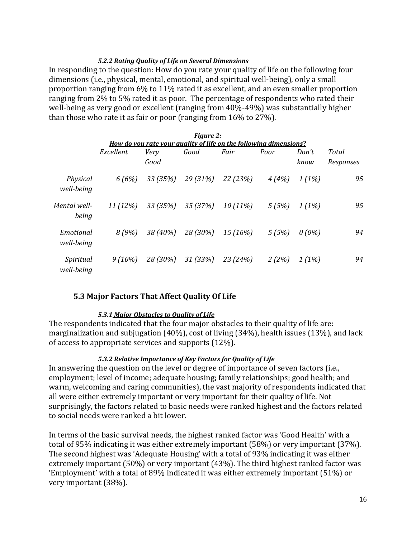#### *5.2.2 Rating Quality of Life on Several Dimensions*

In responding to the question: How do you rate your quality of life on the following four dimensions (i.e., physical, mental, emotional, and spiritual well-being), only a small proportion ranging from 6% to 11% rated it as excellent, and an even smaller proportion ranging from 2% to 5% rated it as poor. The percentage of respondents who rated their well-being as very good or excellent (ranging from 40%-49%) was substantially higher than those who rate it as fair or poor (ranging from 16% to 27%).

| <b>Figure 2:</b>                                                  |           |          |          |            |       |          |           |
|-------------------------------------------------------------------|-----------|----------|----------|------------|-------|----------|-----------|
| How do you rate your quality of life on the following dimensions? |           |          |          |            |       |          |           |
|                                                                   | Excellent | Very     | Good     | Fair       | Poor  | Don't    | Total     |
|                                                                   |           | Good     |          |            |       | know     | Responses |
| Physical<br>well-being                                            | 6(6%)     | 33 (35%) | 29 (31%) | 22 (23%)   | 4(4%) | 1(1%)    | 95        |
| Mental well-<br>being                                             | 11(12%)   | 33 (35%) | 35 (37%) | $10(11\%)$ | 5(5%) | 1(1%)    | 95        |
| Emotional<br>well-being                                           | 8(9%)     | 38 (40%) | 28 (30%) | 15 (16%)   | 5(5%) | $0(0\%)$ | 94        |
| Spiritual<br>well-being                                           | $9(10\%)$ | 28 (30%) | 31 (33%) | 23 (24%)   | 2(2%) | 1(1%)    | 94        |

#### **5.3 Major Factors That Affect Quality Of Life**

#### *5.3.1 Major Obstacles to Quality of Life*

The respondents indicated that the four major obstacles to their quality of life are: marginalization and subjugation (40%), cost of living (34%), health issues (13%), and lack of access to appropriate services and supports (12%).

#### *5.3.2 Relative Importance of Key Factors for Quality of Life*

In answering the question on the level or degree of importance of seven factors (i.e., employment; level of income; adequate housing; family relationships; good health; and warm, welcoming and caring communities), the vast majority of respondents indicated that all were either extremely important or very important for their quality of life. Not surprisingly, the factors related to basic needs were ranked highest and the factors related to social needs were ranked a bit lower.

In terms of the basic survival needs, the highest ranked factor was 'Good Health' with a total of 95% indicating it was either extremely important (58%) or very important (37%). The second highest was 'Adequate Housing' with a total of 93% indicating it was either extremely important (50%) or very important (43%). The third highest ranked factor was 'Employment' with a total of 89% indicated it was either extremely important (51%) or very important (38%).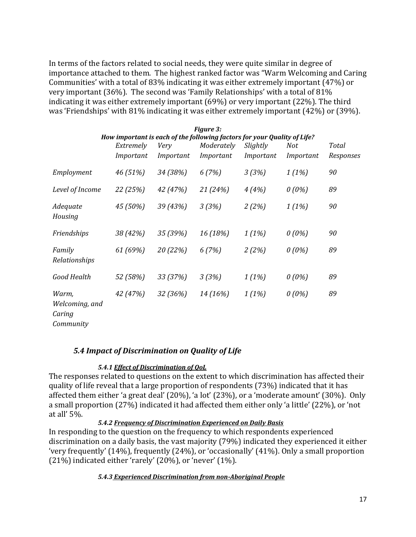In terms of the factors related to social needs, they were quite similar in degree of importance attached to them. The highest ranked factor was "Warm Welcoming and Caring Communities' with a total of 83% indicating it was either extremely important (47%) or very important (36%). The second was 'Family Relationships' with a total of 81% indicating it was either extremely important (69%) or very important (22%). The third was 'Friendships' with 81% indicating it was either extremely important (42%) or (39%).

|                                                |           |           | <b>Figure 3:</b>                                                         |           |           |           |
|------------------------------------------------|-----------|-----------|--------------------------------------------------------------------------|-----------|-----------|-----------|
|                                                |           |           | How important is each of the following factors for your Quality of Life? |           |           |           |
|                                                | Extremely | Very      | Moderately                                                               | Slightly  | Not       | Total     |
|                                                | Important | Important | Important                                                                | Important | Important | Responses |
| Employment                                     | 46 (51%)  | 34 (38%)  | 6(7%)                                                                    | 3(3%)     | 1(1%)     | 90        |
| Level of Income                                | 22 (25%)  | 42 (47%)  | 21 (24%)                                                                 | 4(4%)     | $0(0\%)$  | 89        |
| Adequate<br>Housing                            | 45 (50%)  | 39 (43%)  | 3(3%)                                                                    | 2(2%)     | 1(1%)     | 90        |
| Friendships                                    | 38 (42%)  | 35 (39%)  | 16 (18%)                                                                 | 1(1%)     | $0(0\%)$  | 90        |
| Family<br>Relationships                        | 61 (69%)  | 20 (22%)  | 6(7%)                                                                    | 2(2%)     | $0(0\%)$  | 89        |
| Good Health                                    | 52 (58%)  | 33 (37%)  | 3(3%)                                                                    | 1(1%)     | $0(0\%)$  | 89        |
| Warm,<br>Welcoming, and<br>Caring<br>Community | 42 (47%)  | 32 (36%)  | 14 (16%)                                                                 | 1(1%)     | $0(0\%)$  | 89        |

#### *5.4 Impact of Discrimination on Quality of Life*

#### *5.4.1 Effect of Discrimination of QoL*

The responses related to questions on the extent to which discrimination has affected their quality of life reveal that a large proportion of respondents (73%) indicated that it has affected them either 'a great deal' (20%), 'a lot' (23%), or a 'moderate amount' (30%). Only a small proportion (27%) indicated it had affected them either only 'a little' (22%), or 'not at all' 5%.

#### *5.4.2 Frequency of Discrimination Experienced on Daily Basis*

In responding to the question on the frequency to which respondents experienced discrimination on a daily basis, the vast majority (79%) indicated they experienced it either 'very frequently' (14%), frequently (24%), or 'occasionally' (41%). Only a small proportion (21%) indicated either 'rarely' (20%), or 'never' (1%).

#### *5.4.3 Experienced Discrimination from non-Aboriginal People*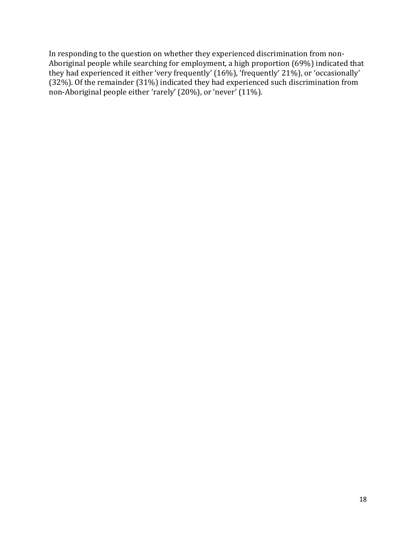In responding to the question on whether they experienced discrimination from non-Aboriginal people while searching for employment, a high proportion (69%) indicated that they had experienced it either 'very frequently' (16%), 'frequently' 21%), or 'occasionally' (32%). Of the remainder (31%) indicated they had experienced such discrimination from non-Aboriginal people either 'rarely' (20%), or 'never' (11%).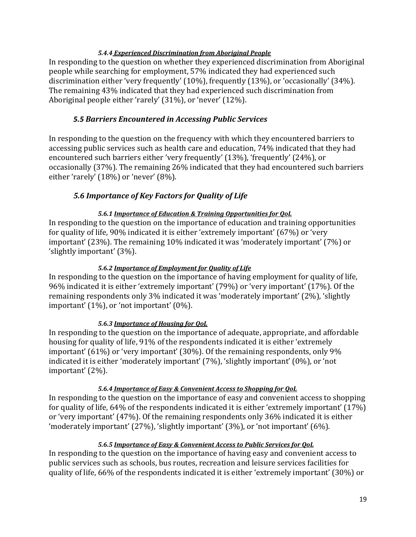#### *5.4.4 Experienced Discrimination from Aboriginal People*

In responding to the question on whether they experienced discrimination from Aboriginal people while searching for employment, 57% indicated they had experienced such discrimination either 'very frequently' (10%), frequently (13%), or 'occasionally' (34%). The remaining 43% indicated that they had experienced such discrimination from Aboriginal people either 'rarely' (31%), or 'never' (12%).

## *5.5 Barriers Encountered in Accessing Public Services*

In responding to the question on the frequency with which they encountered barriers to accessing public services such as health care and education, 74% indicated that they had encountered such barriers either 'very frequently' (13%), 'frequently' (24%), or occasionally (37%). The remaining 26% indicated that they had encountered such barriers either 'rarely' (18%) or 'never' (8%).

## *5.6 Importance of Key Factors for Quality of Life*

#### *5.6.1 Importance of Education & Training Opportunities for QoL*

In responding to the question on the importance of education and training opportunities for quality of life, 90% indicated it is either 'extremely important' (67%) or 'very important' (23%). The remaining 10% indicated it was 'moderately important' (7%) or 'slightly important' (3%).

#### *5.6.2 Importance of Employment for Quality of Life*

In responding to the question on the importance of having employment for quality of life, 96% indicated it is either 'extremely important' (79%) or 'very important' (17%). Of the remaining respondents only 3% indicated it was 'moderately important' (2%), 'slightly important' (1%), or 'not important' (0%).

#### *5.6.3 Importance of Housing for QoL*

In responding to the question on the importance of adequate, appropriate, and affordable housing for quality of life, 91% of the respondents indicated it is either 'extremely important' (61%) or 'very important' (30%). Of the remaining respondents, only 9% indicated it is either 'moderately important' (7%), 'slightly important' (0%), or 'not important' (2%).

#### *5.6.4 Importance of Easy & Convenient Access to Shopping for QoL*

In responding to the question on the importance of easy and convenient access to shopping for quality of life, 64% of the respondents indicated it is either 'extremely important' (17%) or 'very important' (47%). Of the remaining respondents only 36% indicated it is either 'moderately important' (27%), 'slightly important' (3%), or 'not important' (6%).

#### *5.6.5 Importance of Easy & Convenient Access to Public Services for QoL*

In responding to the question on the importance of having easy and convenient access to public services such as schools, bus routes, recreation and leisure services facilities for quality of life, 66% of the respondents indicated it is either 'extremely important' (30%) or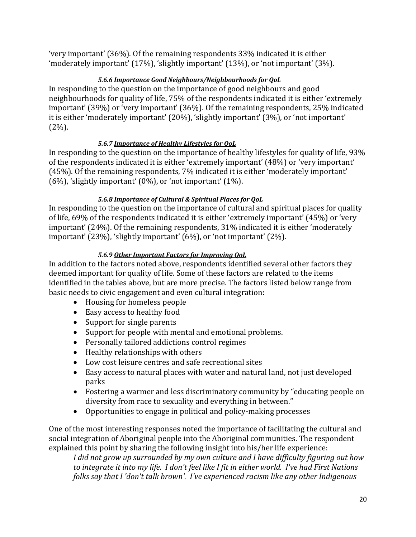'very important' (36%). Of the remaining respondents 33% indicated it is either 'moderately important' (17%), 'slightly important' (13%), or 'not important' (3%).

## *5.6.6 Importance Good Neighbours/Neighbourhoods for QoL*

In responding to the question on the importance of good neighbours and good neighbourhoods for quality of life, 75% of the respondents indicated it is either 'extremely important' (39%) or 'very important' (36%). Of the remaining respondents, 25% indicated it is either 'moderately important' (20%), 'slightly important' (3%), or 'not important'  $(2\%)$ .

## *5.6.7 Importance of Healthy Lifestyles for QoL*

In responding to the question on the importance of healthy lifestyles for quality of life, 93% of the respondents indicated it is either 'extremely important' (48%) or 'very important' (45%). Of the remaining respondents, 7% indicated it is either 'moderately important' (6%), 'slightly important' (0%), or 'not important' (1%).

## *5.6.8 Importance of Cultural & Spiritual Places for QoL*

In responding to the question on the importance of cultural and spiritual places for quality of life, 69% of the respondents indicated it is either 'extremely important' (45%) or 'very important' (24%). Of the remaining respondents, 31% indicated it is either 'moderately important' (23%), 'slightly important' (6%), or 'not important' (2%).

## *5.6.9 Other Important Factors for Improving QoL*

In addition to the factors noted above, respondents identified several other factors they deemed important for quality of life. Some of these factors are related to the items identified in the tables above, but are more precise. The factors listed below range from basic needs to civic engagement and even cultural integration:

- Housing for homeless people
- Easy access to healthy food
- Support for single parents
- Support for people with mental and emotional problems.
- Personally tailored addictions control regimes
- Healthy relationships with others
- Low cost leisure centres and safe recreational sites
- Easy access to natural places with water and natural land, not just developed parks
- Fostering a warmer and less discriminatory community by "educating people on diversity from race to sexuality and everything in between."
- Opportunities to engage in political and policy-making processes

One of the most interesting responses noted the importance of facilitating the cultural and social integration of Aboriginal people into the Aboriginal communities. The respondent explained this point by sharing the following insight into his/her life experience:

*I did not grow up surrounded by my own culture and I have difficulty figuring out how to integrate it into my life. I don't feel like I fit in either world. I've had First Nations folks say that I 'don't talk brown'. I've experienced racism like any other Indigenous*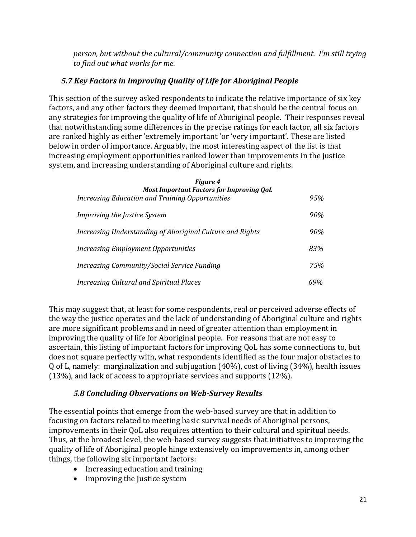*person, but without the cultural/community connection and fulfillment. I'm still trying to find out what works for me.*

# *5.7 Key Factors in Improving Quality of Life for Aboriginal People*

This section of the survey asked respondents to indicate the relative importance of six key factors, and any other factors they deemed important, that should be the central focus on any strategies for improving the quality of life of Aboriginal people. Their responses reveal that notwithstanding some differences in the precise ratings for each factor, all six factors are ranked highly as either 'extremely important 'or 'very important'. These are listed below in order of importance. Arguably, the most interesting aspect of the list is that increasing employment opportunities ranked lower than improvements in the justice system, and increasing understanding of Aboriginal culture and rights.

| <b>Figure 4</b><br><b>Most Important Factors for Improving QoL</b> |     |
|--------------------------------------------------------------------|-----|
| <b>Increasing Education and Training Opportunities</b>             | 95% |
| <i>Improving the Justice System</i>                                | 90% |
| Increasing Understanding of Aboriginal Culture and Rights          | 90% |
| Increasing Employment Opportunities                                | 83% |
| Increasing Community/Social Service Funding                        | 75% |
| Increasing Cultural and Spiritual Places                           | 69% |

This may suggest that, at least for some respondents, real or perceived adverse effects of the way the justice operates and the lack of understanding of Aboriginal culture and rights are more significant problems and in need of greater attention than employment in improving the quality of life for Aboriginal people. For reasons that are not easy to ascertain, this listing of important factors for improving QoL has some connections to, but does not square perfectly with, what respondents identified as the four major obstacles to Q of L, namely: marginalization and subjugation (40%), cost of living (34%), health issues (13%), and lack of access to appropriate services and supports (12%).

## *5.8 Concluding Observations on Web-Survey Results*

The essential points that emerge from the web-based survey are that in addition to focusing on factors related to meeting basic survival needs of Aboriginal persons, improvements in their QoL also requires attention to their cultural and spiritual needs. Thus, at the broadest level, the web-based survey suggests that initiatives to improving the quality of life of Aboriginal people hinge extensively on improvements in, among other things, the following six important factors:

- Increasing education and training
- Improving the Justice system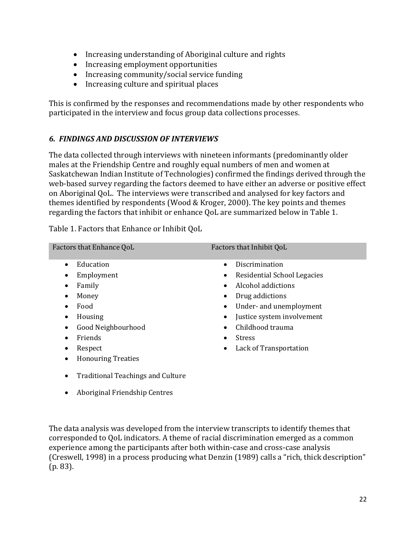- Increasing understanding of Aboriginal culture and rights
- Increasing employment opportunities
- Increasing community/social service funding
- Increasing culture and spiritual places

This is confirmed by the responses and recommendations made by other respondents who participated in the interview and focus group data collections processes.

## *6. FINDINGS AND DISCUSSION OF INTERVIEWS*

The data collected through interviews with nineteen informants (predominantly older males at the Friendship Centre and roughly equal numbers of men and women at Saskatchewan Indian Institute of Technologies) confirmed the findings derived through the web-based survey regarding the factors deemed to have either an adverse or positive effect on Aboriginal QoL. The interviews were transcribed and analysed for key factors and themes identified by respondents (Wood & Kroger, 2000). The key points and themes regarding the factors that inhibit or enhance QoL are summarized below in Table 1.

| Factors that Enhance QoL                                                                                                                       | Factors that Inhibit QoL                                                                                                                                                                                        |
|------------------------------------------------------------------------------------------------------------------------------------------------|-----------------------------------------------------------------------------------------------------------------------------------------------------------------------------------------------------------------|
| Education<br>$\bullet$<br>Employment<br>٠<br>Family<br>٠<br>Money<br>$\bullet$<br>Food<br>$\bullet$<br>Housing<br>٠<br>Good Neighbourhood<br>٠ | Discrimination<br>$\bullet$<br>Residential School Legacies<br>٠<br>Alcohol addictions<br>$\bullet$<br>Drug addictions<br>Under- and unemployment<br>Justice system involvement<br>Childhood trauma<br>$\bullet$ |
| Friends<br>Respect<br>٠<br><b>Honouring Treaties</b><br>٠                                                                                      | <b>Stress</b><br>Lack of Transportation<br>٠                                                                                                                                                                    |
| <b>Traditional Teachings and Culture</b><br>٠<br>Aboriginal Friendship Centres                                                                 |                                                                                                                                                                                                                 |

Table 1. Factors that Enhance or Inhibit QoL

The data analysis was developed from the interview transcripts to identify themes that corresponded to QoL indicators. A theme of racial discrimination emerged as a common experience among the participants after both within-case and cross-case analysis (Creswell, 1998) in a process producing what Denzin (1989) calls a "rich, thick description" (p. 83).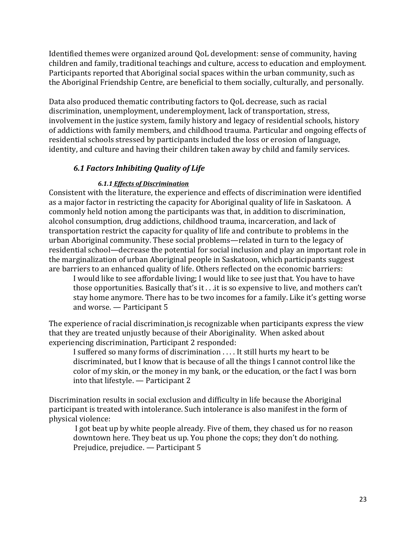Identified themes were organized around QoL development: sense of community, having children and family, traditional teachings and culture, access to education and employment. Participants reported that Aboriginal social spaces within the urban community, such as the Aboriginal Friendship Centre, are beneficial to them socially, culturally, and personally.

Data also produced thematic contributing factors to QoL decrease, such as racial discrimination, unemployment, underemployment, lack of transportation, stress, involvement in the justice system, family history and legacy of residential schools, history of addictions with family members, and childhood trauma. Particular and ongoing effects of residential schools stressed by participants included the loss or erosion of language, identity, and culture and having their children taken away by child and family services.

## *6.1 Factors Inhibiting Quality of Life*

#### *6.1.1 Effects of Discrimination*

Consistent with the literature, the experience and effects of discrimination were identified as a major factor in restricting the capacity for Aboriginal quality of life in Saskatoon. A commonly held notion among the participants was that, in addition to discrimination, alcohol consumption, drug addictions, childhood trauma, incarceration, and lack of transportation restrict the capacity for quality of life and contribute to problems in the urban Aboriginal community. These social problems—related in turn to the legacy of residential school—decrease the potential for social inclusion and play an important role in the marginalization of urban Aboriginal people in Saskatoon, which participants suggest are barriers to an enhanced quality of life. Others reflected on the economic barriers:

I would like to see affordable living; I would like to see just that. You have to have those opportunities. Basically that's it . . .it is so expensive to live, and mothers can't stay home anymore. There has to be two incomes for a family. Like it's getting worse and worse. — Participant 5

The experience of racial discrimination is recognizable when participants express the view that they are treated unjustly because of their Aboriginality. When asked about experiencing discrimination, Participant 2 responded:

I suffered so many forms of discrimination . . . . It still hurts my heart to be discriminated, but I know that is because of all the things I cannot control like the color of my skin, or the money in my bank, or the education, or the fact I was born into that lifestyle. — Participant 2

Discrimination results in social exclusion and difficulty in life because the Aboriginal participant is treated with intolerance. Such intolerance is also manifest in the form of physical violence:

I got beat up by white people already. Five of them, they chased us for no reason downtown here. They beat us up. You phone the cops; they don't do nothing. Prejudice, prejudice. — Participant 5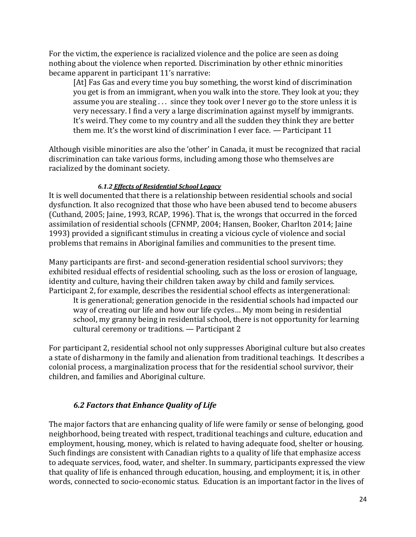For the victim, the experience is racialized violence and the police are seen as doing nothing about the violence when reported. Discrimination by other ethnic minorities became apparent in participant 11's narrative:

[At] Fas Gas and every time you buy something, the worst kind of discrimination you get is from an immigrant, when you walk into the store. They look at you; they assume you are stealing . . . since they took over I never go to the store unless it is very necessary. I find a very a large discrimination against myself by immigrants. It's weird. They come to my country and all the sudden they think they are better them me. It's the worst kind of discrimination I ever face. — Participant 11

Although visible minorities are also the 'other' in Canada, it must be recognized that racial discrimination can take various forms, including among those who themselves are racialized by the dominant society.

## *6.1.2 Effects of Residential School Legacy*

It is well documented that there is a relationship between residential schools and social dysfunction. It also recognized that those who have been abused tend to become abusers (Cuthand, 2005; Jaine, 1993, RCAP, 1996). That is, the wrongs that occurred in the forced assimilation of residential schools (CFNMP, 2004; Hansen, Booker, Charlton 2014; Jaine 1993) provided a significant stimulus in creating a vicious cycle of violence and social problems that remains in Aboriginal families and communities to the present time.

Many participants are first- and second-generation residential school survivors; they exhibited residual effects of residential schooling, such as the loss or erosion of language, identity and culture, having their children taken away by child and family services. Participant 2, for example, describes the residential school effects as intergenerational:

It is generational; generation genocide in the residential schools had impacted our way of creating our life and how our life cycles… My mom being in residential school, my granny being in residential school, there is not opportunity for learning cultural ceremony or traditions. — Participant 2

For participant 2, residential school not only suppresses Aboriginal culture but also creates a state of disharmony in the family and alienation from traditional teachings. It describes a colonial process, a marginalization process that for the residential school survivor, their children, and families and Aboriginal culture.

# *6.2 Factors that Enhance Quality of Life*

The major factors that are enhancing quality of life were family or sense of belonging, good neighborhood, being treated with respect, traditional teachings and culture, education and employment, housing, money, which is related to having adequate food, shelter or housing. Such findings are consistent with Canadian rights to a quality of life that emphasize access to adequate services, food, water, and shelter. In summary, participants expressed the view that quality of life is enhanced through education, housing, and employment; it is, in other words, connected to socio-economic status. Education is an important factor in the lives of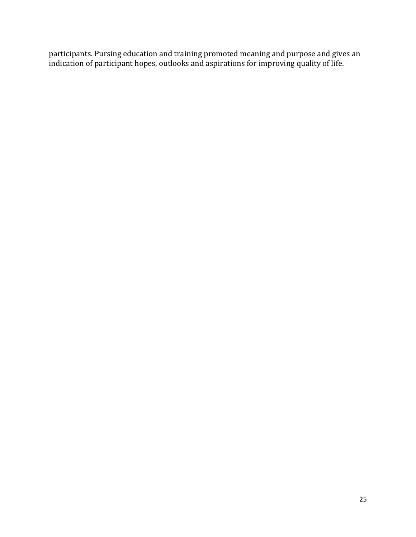participants. Pursing education and training promoted meaning and purpose and gives an indication of participant hopes, outlooks and aspirations for improving quality of life.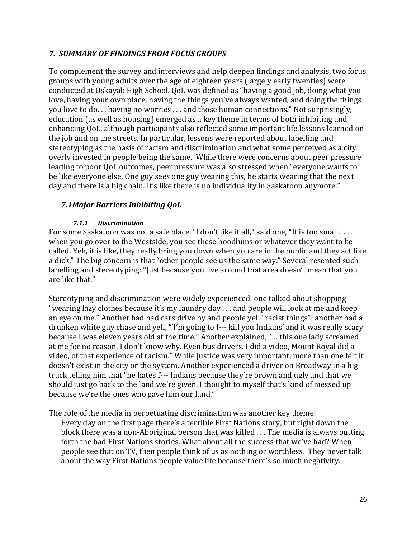## *7. SUMMARY OF FINDINGS FROM FOCUS GROUPS*

To complement the survey and interviews and help deepen findings and analysis, two focus groups with young adults over the age of eighteen years (largely early twenties) were conducted at Oskayak High School. QoL was defined as "having a good job, doing what you love, having your own place, having the things you've always wanted, and doing the things you love to do. . . having no worries . . . and those human connections." Not surprisingly, education (as well as housing) emerged as a key theme in terms of both inhibiting and enhancing QoL, although participants also reflected some important life lessons learned on the job and on the streets. In particular, lessons were reported about labelling and stereotyping as the basis of racism and discrimination and what some perceived as a city overly invested in people being the same. While there were concerns about peer pressure leading to poor QoL outcomes, peer pressure was also stressed when "everyone wants to be like everyone else. One guy sees one guy wearing this, he starts wearing that the next day and there is a big chain. It's like there is no individuality in Saskatoon anymore."

## *7.1Major Barriers Inhibiting QoL*

#### *7.1.1 Discrimination*

For some Saskatoon was not a safe place. "I don't like it all," said one, "It is too small. . . . when you go over to the Westside, you see these hoodlums or whatever they want to be called. Yeh, it is like, they really bring you down when you are in the public and they act like a dick." The big concern is that "other people see us the same way." Several resented such labelling and stereotyping: "Just because you live around that area doesn't mean that you are like that."

Stereotyping and discrimination were widely experienced: one talked about shopping "wearing lazy clothes because it's my laundry day . . . and people will look at me and keep an eye on me." Another had had cars drive by and people yell "racist things"; another had a drunken white guy chase and yell, "'I'm going to f--- kill you Indians' and it was really scary because I was eleven years old at the time." Another explained, "… this one lady screamed at me for no reason. I don't know why. Even bus drivers. I did a video, Mount Royal did a video, of that experience of racism." While justice was very important, more than one felt it doesn't exist in the city or the system. Another experienced a driver on Broadway in a big truck telling him that "he hates f--- Indians because they're brown and ugly and that we should just go back to the land we're given. I thought to myself that's kind of messed up because we're the ones who gave him our land."

The role of the media in perpetuating discrimination was another key theme:

Every day on the first page there's a terrible First Nations story, but right down the block there was a non-Aboriginal person that was killed . . . The media is always putting forth the bad First Nations stories. What about all the success that we've had? When people see that on TV, then people think of us as nothing or worthless. They never talk about the way First Nations people value life because there's so much negativity.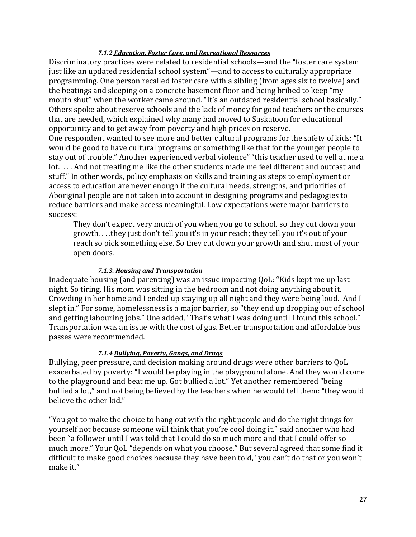#### *7.1.2 Education, Foster Care, and Recreational Resources*

Discriminatory practices were related to residential schools—and the "foster care system just like an updated residential school system"—and to access to culturally appropriate programming. One person recalled foster care with a sibling (from ages six to twelve) and the beatings and sleeping on a concrete basement floor and being bribed to keep "my mouth shut" when the worker came around. "It's an outdated residential school basically." Others spoke about reserve schools and the lack of money for good teachers or the courses that are needed, which explained why many had moved to Saskatoon for educational opportunity and to get away from poverty and high prices on reserve.

One respondent wanted to see more and better cultural programs for the safety of kids: "It would be good to have cultural programs or something like that for the younger people to stay out of trouble." Another experienced verbal violence" "this teacher used to yell at me a lot. . . . And not treating me like the other students made me feel different and outcast and stuff." In other words, policy emphasis on skills and training as steps to employment or access to education are never enough if the cultural needs, strengths, and priorities of Aboriginal people are not taken into account in designing programs and pedagogies to reduce barriers and make access meaningful. Low expectations were major barriers to success:

They don't expect very much of you when you go to school, so they cut down your growth. . . .they just don't tell you it's in your reach; they tell you it's out of your reach so pick something else. So they cut down your growth and shut most of your open doors.

#### *7.1.3. Housing and Transportation*

Inadequate housing (and parenting) was an issue impacting QoL: "Kids kept me up last night. So tiring. His mom was sitting in the bedroom and not doing anything about it. Crowding in her home and I ended up staying up all night and they were being loud. And I slept in." For some, homelessness is a major barrier, so "they end up dropping out of school and getting labouring jobs." One added, "That's what I was doing until I found this school." Transportation was an issue with the cost of gas. Better transportation and affordable bus passes were recommended.

#### *7.1.4 Bullying, Poverty, Gangs, and Drugs*

Bullying, peer pressure, and decision making around drugs were other barriers to QoL exacerbated by poverty: "I would be playing in the playground alone. And they would come to the playground and beat me up. Got bullied a lot." Yet another remembered "being bullied a lot," and not being believed by the teachers when he would tell them: "they would believe the other kid."

"You got to make the choice to hang out with the right people and do the right things for yourself not because someone will think that you're cool doing it," said another who had been "a follower until I was told that I could do so much more and that I could offer so much more." Your QoL "depends on what you choose." But several agreed that some find it difficult to make good choices because they have been told, "you can't do that or you won't make it."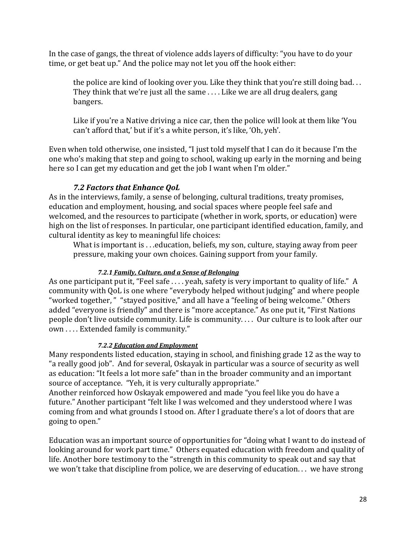In the case of gangs, the threat of violence adds layers of difficulty: "you have to do your time, or get beat up." And the police may not let you off the hook either:

the police are kind of looking over you. Like they think that you're still doing bad. . . They think that we're just all the same . . . . Like we are all drug dealers, gang bangers.

Like if you're a Native driving a nice car, then the police will look at them like 'You can't afford that,' but if it's a white person, it's like, 'Oh, yeh'.

Even when told otherwise, one insisted, "I just told myself that I can do it because I'm the one who's making that step and going to school, waking up early in the morning and being here so I can get my education and get the job I want when I'm older."

## *7.2 Factors that Enhance QoL*

As in the interviews, family, a sense of belonging, cultural traditions, treaty promises, education and employment, housing, and social spaces where people feel safe and welcomed, and the resources to participate (whether in work, sports, or education) were high on the list of responses. In particular, one participant identified education, family, and cultural identity as key to meaningful life choices:

What is important is . . .education, beliefs, my son, culture, staying away from peer pressure, making your own choices. Gaining support from your family.

## *7.2.1 Family, Culture, and a Sense of Belonging*

As one participant put it, "Feel safe .... yeah, safety is very important to quality of life." A community with QoL is one where "everybody helped without judging" and where people "worked together, " "stayed positive," and all have a "feeling of being welcome." Others added "everyone is friendly" and there is "more acceptance." As one put it, "First Nations people don't live outside community. Life is community. . . . Our culture is to look after our own . . . . Extended family is community."

#### *7.2.2 Education and Employment*

Many respondents listed education, staying in school, and finishing grade 12 as the way to "a really good job". And for several, Oskayak in particular was a source of security as well as education: "It feels a lot more safe" than in the broader community and an important source of acceptance. "Yeh, it is very culturally appropriate."

Another reinforced how Oskayak empowered and made "you feel like you do have a future." Another participant "felt like I was welcomed and they understood where I was coming from and what grounds I stood on. After I graduate there's a lot of doors that are going to open."

Education was an important source of opportunities for "doing what I want to do instead of looking around for work part time." Others equated education with freedom and quality of life. Another bore testimony to the "strength in this community to speak out and say that we won't take that discipline from police, we are deserving of education. . . we have strong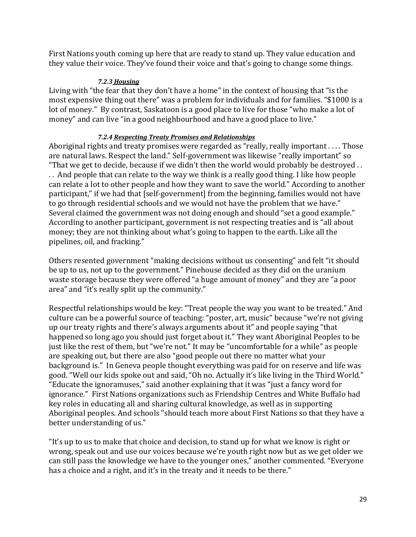First Nations youth coming up here that are ready to stand up. They value education and they value their voice. They've found their voice and that's going to change some things.

#### *7.2.3 Housing*

Living with "the fear that they don't have a home" in the context of housing that "is the most expensive thing out there" was a problem for individuals and for families. "\$1000 is a lot of money." By contrast, Saskatoon is a good place to live for those "who make a lot of money" and can live "in a good neighbourhood and have a good place to live."

## *7.2.4 Respecting Treaty Promises and Relationships*

Aboriginal rights and treaty promises were regarded as "really, really important . . . . Those are natural laws. Respect the land." Self-government was likewise "really important" so "That we get to decide, because if we didn't then the world would probably be destroyed . . . . And people that can relate to the way we think is a really good thing. I like how people can relate a lot to other people and how they want to save the world." According to another participant," if we had that [self-government] from the beginning, families would not have to go through residential schools and we would not have the problem that we have." Several claimed the government was not doing enough and should "set a good example." According to another participant, government is not respecting treaties and is "all about money; they are not thinking about what's going to happen to the earth. Like all the pipelines, oil, and fracking."

Others resented government "making decisions without us consenting" and felt "it should be up to us, not up to the government." Pinehouse decided as they did on the uranium waste storage because they were offered "a huge amount of money" and they are "a poor area" and "it's really split up the community."

Respectful relationships would be key: "Treat people the way you want to be treated." And culture can be a powerful source of teaching: "poster, art, music" because "we're not giving up our treaty rights and there's always arguments about it" and people saying "that happened so long ago you should just forget about it." They want Aboriginal Peoples to be just like the rest of them, but "we're not." It may be "uncomfortable for a while" as people are speaking out, but there are also "good people out there no matter what your background is." In Geneva people thought everything was paid for on reserve and life was good. "Well our kids spoke out and said, "Oh no. Actually it's like living in the Third World." "Educate the ignoramuses," said another explaining that it was "just a fancy word for ignorance." First Nations organizations such as Friendship Centres and White Buffalo had key roles in educating all and sharing cultural knowledge, as well as in supporting Aboriginal peoples. And schools "should teach more about First Nations so that they have a better understanding of us."

"It's up to us to make that choice and decision, to stand up for what we know is right or wrong, speak out and use our voices because we're youth right now but as we get older we can still pass the knowledge we have to the younger ones," another commented. "Everyone has a choice and a right, and it's in the treaty and it needs to be there."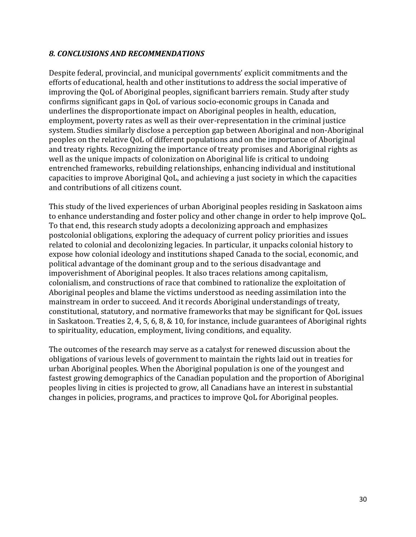## *8. CONCLUSIONS AND RECOMMENDATIONS*

Despite federal, provincial, and municipal governments' explicit commitments and the efforts of educational, health and other institutions to address the social imperative of improving the QoL of Aboriginal peoples, significant barriers remain. Study after study confirms significant gaps in QoL of various socio-economic groups in Canada and underlines the disproportionate impact on Aboriginal peoples in health, education, employment, poverty rates as well as their over-representation in the criminal justice system. Studies similarly disclose a perception gap between Aboriginal and non-Aboriginal peoples on the relative QoL of different populations and on the importance of Aboriginal and treaty rights. Recognizing the importance of treaty promises and Aboriginal rights as well as the unique impacts of colonization on Aboriginal life is critical to undoing entrenched frameworks, rebuilding relationships, enhancing individual and institutional capacities to improve Aboriginal QoL, and achieving a just society in which the capacities and contributions of all citizens count.

This study of the lived experiences of urban Aboriginal peoples residing in Saskatoon aims to enhance understanding and foster policy and other change in order to help improve QoL. To that end, this research study adopts a decolonizing approach and emphasizes postcolonial obligations, exploring the adequacy of current policy priorities and issues related to colonial and decolonizing legacies. In particular, it unpacks colonial history to expose how colonial ideology and institutions shaped Canada to the social, economic, and political advantage of the dominant group and to the serious disadvantage and impoverishment of Aboriginal peoples. It also traces relations among capitalism, colonialism, and constructions of race that combined to rationalize the exploitation of Aboriginal peoples and blame the victims understood as needing assimilation into the mainstream in order to succeed. And it records Aboriginal understandings of treaty, constitutional, statutory, and normative frameworks that may be significant for QoL issues in Saskatoon. Treaties 2, 4, 5, 6, 8, & 10, for instance, include guarantees of Aboriginal rights to spirituality, education, employment, living conditions, and equality.

The outcomes of the research may serve as a catalyst for renewed discussion about the obligations of various levels of government to maintain the rights laid out in treaties for urban Aboriginal peoples. When the Aboriginal population is one of the youngest and fastest growing demographics of the Canadian population and the proportion of Aboriginal peoples living in cities is projected to grow, all Canadians have an interest in substantial changes in policies, programs, and practices to improve QoL for Aboriginal peoples.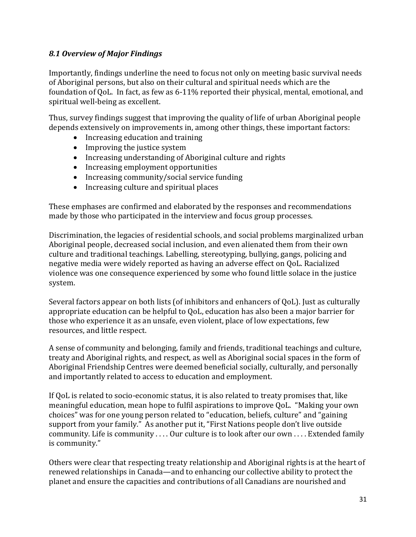## *8.1 Overview of Major Findings*

Importantly, findings underline the need to focus not only on meeting basic survival needs of Aboriginal persons, but also on their cultural and spiritual needs which are the foundation of QoL. In fact, as few as 6-11% reported their physical, mental, emotional, and spiritual well-being as excellent.

Thus, survey findings suggest that improving the quality of life of urban Aboriginal people depends extensively on improvements in, among other things, these important factors:

- Increasing education and training
- Improving the justice system
- Increasing understanding of Aboriginal culture and rights
- Increasing employment opportunities
- Increasing community/social service funding
- Increasing culture and spiritual places

These emphases are confirmed and elaborated by the responses and recommendations made by those who participated in the interview and focus group processes.

Discrimination, the legacies of residential schools, and social problems marginalized urban Aboriginal people, decreased social inclusion, and even alienated them from their own culture and traditional teachings. Labelling, stereotyping, bullying, gangs, policing and negative media were widely reported as having an adverse effect on QoL. Racialized violence was one consequence experienced by some who found little solace in the justice system.

Several factors appear on both lists (of inhibitors and enhancers of QoL). Just as culturally appropriate education can be helpful to QoL, education has also been a major barrier for those who experience it as an unsafe, even violent, place of low expectations, few resources, and little respect.

A sense of community and belonging, family and friends, traditional teachings and culture, treaty and Aboriginal rights, and respect, as well as Aboriginal social spaces in the form of Aboriginal Friendship Centres were deemed beneficial socially, culturally, and personally and importantly related to access to education and employment.

If QoL is related to socio-economic status, it is also related to treaty promises that, like meaningful education, mean hope to fulfil aspirations to improve QoL. "Making your own choices" was for one young person related to "education, beliefs, culture" and "gaining support from your family." As another put it, "First Nations people don't live outside community. Life is community . . . . Our culture is to look after our own . . . . Extended family is community."

Others were clear that respecting treaty relationship and Aboriginal rights is at the heart of renewed relationships in Canada—and to enhancing our collective ability to protect the planet and ensure the capacities and contributions of all Canadians are nourished and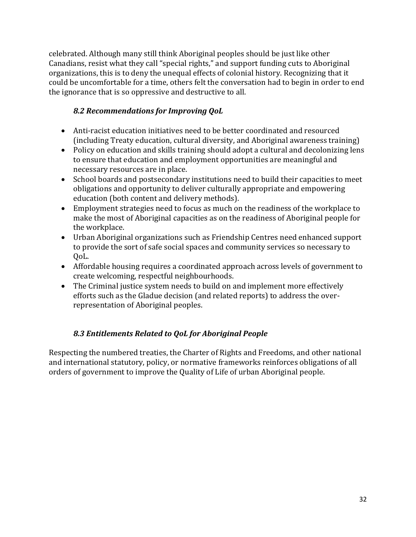celebrated. Although many still think Aboriginal peoples should be just like other Canadians, resist what they call "special rights," and support funding cuts to Aboriginal organizations, this is to deny the unequal effects of colonial history. Recognizing that it could be uncomfortable for a time, others felt the conversation had to begin in order to end the ignorance that is so oppressive and destructive to all.

# *8.2 Recommendations for Improving QoL*

- Anti-racist education initiatives need to be better coordinated and resourced (including Treaty education, cultural diversity, and Aboriginal awareness training)
- Policy on education and skills training should adopt a cultural and decolonizing lens to ensure that education and employment opportunities are meaningful and necessary resources are in place.
- School boards and postsecondary institutions need to build their capacities to meet obligations and opportunity to deliver culturally appropriate and empowering education (both content and delivery methods).
- Employment strategies need to focus as much on the readiness of the workplace to make the most of Aboriginal capacities as on the readiness of Aboriginal people for the workplace.
- Urban Aboriginal organizations such as Friendship Centres need enhanced support to provide the sort of safe social spaces and community services so necessary to QoL.
- Affordable housing requires a coordinated approach across levels of government to create welcoming, respectful neighbourhoods.
- The Criminal justice system needs to build on and implement more effectively efforts such as the Gladue decision (and related reports) to address the overrepresentation of Aboriginal peoples.

# *8.3 Entitlements Related to QoL for Aboriginal People*

Respecting the numbered treaties, the Charter of Rights and Freedoms, and other national and international statutory, policy, or normative frameworks reinforces obligations of all orders of government to improve the Quality of Life of urban Aboriginal people.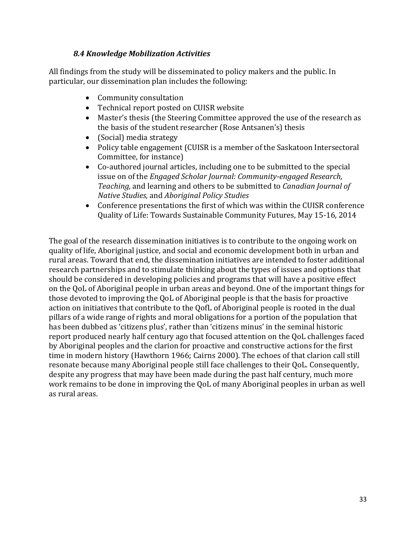## *8.4 Knowledge Mobilization Activities*

All findings from the study will be disseminated to policy makers and the public. In particular, our dissemination plan includes the following:

- Community consultation
- Technical report posted on CUISR website
- Master's thesis (the Steering Committee approved the use of the research as the basis of the student researcher (Rose Antsanen's) thesis
- (Social) media strategy
- Policy table engagement (CUISR is a member of the Saskatoon Intersectoral Committee, for instance)
- Co-authored journal articles, including one to be submitted to the special issue on of the *Engaged Scholar Journal: Community-engaged Research, Teaching,* and learning and others to be submitted to *Canadian Journal of Native Studies,* and *Aboriginal Policy Studies*
- Conference presentations the first of which was within the CUISR conference Quality of Life: Towards Sustainable Community Futures, May 15-16, 2014

The goal of the research dissemination initiatives is to contribute to the ongoing work on quality of life, Aboriginal justice, and social and economic development both in urban and rural areas. Toward that end, the dissemination initiatives are intended to foster additional research partnerships and to stimulate thinking about the types of issues and options that should be considered in developing policies and programs that will have a positive effect on the QoL of Aboriginal people in urban areas and beyond. One of the important things for those devoted to improving the QoL of Aboriginal people is that the basis for proactive action on initiatives that contribute to the QofL of Aboriginal people is rooted in the dual pillars of a wide range of rights and moral obligations for a portion of the population that has been dubbed as 'citizens plus', rather than 'citizens minus' in the seminal historic report produced nearly half century ago that focused attention on the QoL challenges faced by Aboriginal peoples and the clarion for proactive and constructive actions for the first time in modern history (Hawthorn 1966; Cairns 2000). The echoes of that clarion call still resonate because many Aboriginal people still face challenges to their QoL. Consequently, despite any progress that may have been made during the past half century, much more work remains to be done in improving the QoL of many Aboriginal peoples in urban as well as rural areas.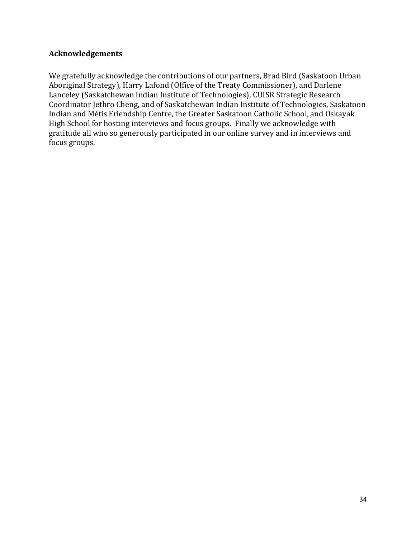## **Acknowledgements**

We gratefully acknowledge the contributions of our partners, Brad Bird (Saskatoon Urban Aboriginal Strategy), Harry Lafond (Office of the Treaty Commissioner), and Darlene Lanceley (Saskatchewan Indian Institute of Technologies), CUISR Strategic Research Coordinator Jethro Cheng, and of Saskatchewan Indian Institute of Technologies, Saskatoon Indian and Métis Friendship Centre, the Greater Saskatoon Catholic School, and Oskayak High School for hosting interviews and focus groups. Finally we acknowledge with gratitude all who so generously participated in our online survey and in interviews and focus groups.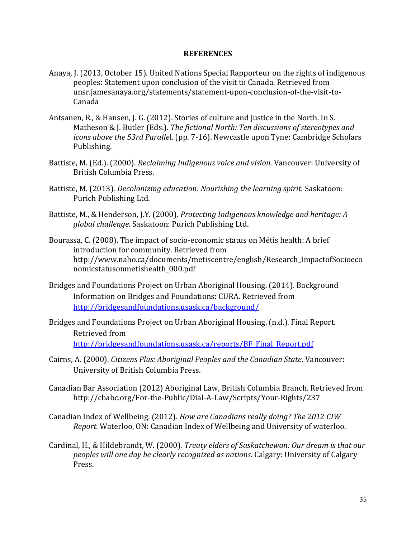#### **REFERENCES**

- Anaya, J. (2013, October 15). United Nations Special Rapporteur on the rights of indigenous peoples: Statement upon conclusion of the visit to Canada. Retrieved from unsr.jamesanaya.org/statements/statement-upon-conclusion-of-the-visit-to-Canada
- Antsanen, R., & Hansen, J. G. (2012). Stories of culture and justice in the North. In S. Matheson & J. Butler (Eds.). *The fictional North: Ten discussions of stereotypes and icons above the 53rd Paralle*l. (pp. 7-16). Newcastle upon Tyne: Cambridge Scholars Publishing.
- Battiste, M. (Ed.). (2000). *Reclaiming Indigenous voice and vision.* Vancouver: University of British Columbia Press.
- Battiste, M. (2013). *Decolonizing education: Nourishing the learning spirit.* Saskatoon: Purich Publishing Ltd.
- Battiste, M., & Henderson, J.Y. (2000). *Protecting Indigenous knowledge and heritage: A global challenge.* Saskatoon: Purich Publishing Ltd.
- Bourassa, C. (2008). The impact of socio-economic status on Métis health: A brief introduction for community. Retrieved from http://www.naho.ca/documents/metiscentre/english/Research\_ImpactofSocioeco nomicstatusonmetishealth\_000.pdf
- Bridges and Foundations Project on Urban Aboriginal Housing. (2014). Background Information on Bridges and Foundations: CURA. Retrieved from <http://bridgesandfoundations.usask.ca/background/>
- Bridges and Foundations Project on Urban Aboriginal Housing. (n.d.). Final Report. Retrieved from [http://bridgesandfoundations.usask.ca/reports/BF\\_Final\\_Report.pdf](http://bridgesandfoundations.usask.ca/reports/BF_Final_Report.pdf)
- Cairns, A. (2000). *Citizens Plus: Aboriginal Peoples and the Canadian State*. Vancouver: University of British Columbia Press.
- Canadian Bar Association (2012) Aboriginal Law, British Columbia Branch. Retrieved from http://cbabc.org/For-the-Public/Dial-A-Law/Scripts/Your-Rights/237
- Canadian Index of Wellbeing. (2012). *How are Canadians really doing? The 2012 CIW Report.* Waterloo, ON: Canadian Index of Wellbeing and University of waterloo.
- Cardinal, H., & Hildebrandt, W. (2000). *Treaty elders of Saskatchewan: Our dream is that our peoples will one day be clearly recognized as nations.* Calgary: University of Calgary Press.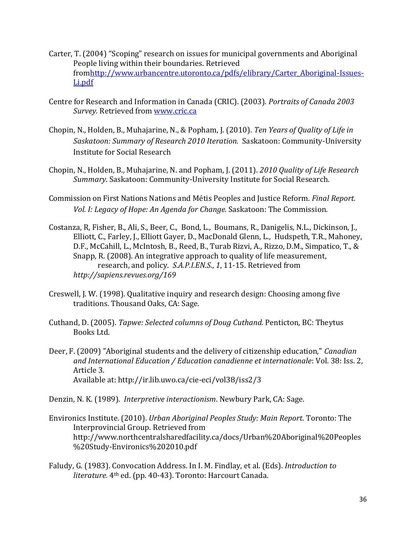- Carter, T. (2004) "Scoping" research on issues for municipal governments and Aboriginal People living within their boundaries. Retrieved fro[mhttp://www.urbancentre.utoronto.ca/pdfs/elibrary/Carter\\_Aboriginal-Issues-](http://www.urbancentre.utoronto.ca/pdfs/elibrary/Carter_Aboriginal-Issues-Li.pdf)[Li.pdf](http://www.urbancentre.utoronto.ca/pdfs/elibrary/Carter_Aboriginal-Issues-Li.pdf)
- Centre for Research and Information in Canada (CRIC). (2003). *Portraits of Canada 2003 Survey.* Retrieved from [www.cric.ca](http://www.cric.ca/)
- Chopin, N., Holden, B., Muhajarine, N., & Popham, J. (2010). *Ten Years of Quality of Life in Saskatoon: Summary of Research 2010 Iteration.* Saskatoon: Community-University Institute for Social Research
- Chopin, N., Holden, B., Muhajarine, N. and Popham, J. (2011). *2010 Quality of Life Research Summary*. Saskatoon: Community-University Institute for Social Research.
- Commission on First Nations Nations and Métis Peoples and Justice Reform. *Final Report. Vol. I: Legacy of Hope: An Agenda for Change.* Saskatoon: The Commission.
- Costanza, R, Fisher, B., Ali, S., Beer, C., Bond, L., Boumans, R., Danigelis, N.L., Dickinson, J., Elliott, C., Farley, J., Elliott Gayer, D., MacDonald Glenn, L., Hudspeth, T.R., Mahoney, D.F., McCahill, L., McIntosh, B., Reed, B., Turab Rizvi, A., Rizzo, D.M., Simpatico, T., & Snapp, R. (2008). An integrative approach to quality of life measurement, research, and policy. *S.A.P.I.EN.S*., *1*, 11-15. Retrieved from *<http://sapiens.revues.org/169>*
- Creswell, J. W. (1998). Qualitative inquiry and research design: Choosing among five traditions. Thousand Oaks, CA: Sage.
- Cuthand, D. (2005). *Tapwe: Selected columns of Doug Cuthand.* Penticton, BC: Theytus Books Ltd.
- Deer, F. (2009) "Aboriginal students and the delivery of citizenship education," *Canadian and International Education / Education canadienne et internationale*: Vol. 38: Iss. 2, Article 3. Available at: http://ir.lib.uwo.ca/cie-eci/vol38/iss2/3

Denzin, N. K. (1989). *Interpretive interactionism*. Newbury Park, CA: Sage.

- Environics Institute. (2010). *Urban Aboriginal Peoples Study: Main Report*. Toronto: The Interprovincial Group. Retrieved from http://www.northcentralsharedfacility.ca/docs/Urban%20Aboriginal%20Peoples %20Study-Environics%202010.pdf
- Faludy, G. (1983). Convocation Address. In I. M. Findlay, et al. (Eds). *Introduction to literature.* 4th ed. (pp. 40-43). Toronto: Harcourt Canada.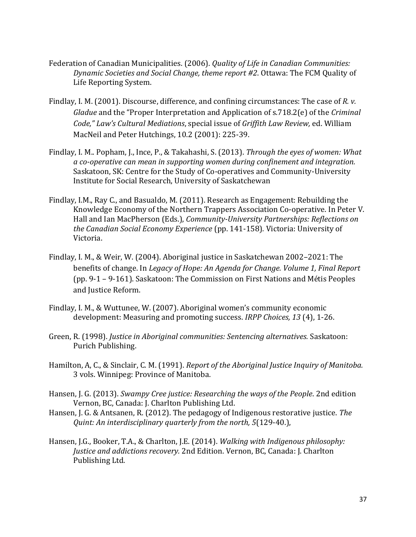- Federation of Canadian Municipalities. (2006). *Quality of Life in Canadian Communities: Dynamic Societies and Social Change, theme report #2*. Ottawa: The FCM Quality of Life Reporting System.
- Findlay, I. M. (2001). Discourse, difference, and confining circumstances: The case of *R. v. Gladue* and the "Proper Interpretation and Application of s.718.2(e) of the *Criminal Code," Law's Cultural Mediations*, special issue of *Griffith Law Review,* ed. William MacNeil and Peter Hutchings, 10.2 (2001): 225-39.
- Findlay, I. M.. Popham, J., Ince, P., & Takahashi, S. (2013). *Through the eyes of women: What a co-operative can mean in supporting women during confinement and integration.* Saskatoon, SK: Centre for the Study of Co-operatives and Community-University Institute for Social Research, University of Saskatchewan
- Findlay, I.M., Ray C., and Basualdo, M. (2011). Research as Engagement: Rebuilding the Knowledge Economy of the Northern Trappers Association Co-operative. In Peter V. Hall and Ian MacPherson (Eds.), *Community-University Partnerships: Reflections on the Canadian Social Economy Experience* (pp. 141-158)*.* Victoria: University of Victoria.
- Findlay, I. M., & Weir, W. (2004). Aboriginal justice in Saskatchewan 2002–2021: The benefits of change. In *Legacy of Hope: An Agenda for Change. Volume 1, Final Report* (pp. 9-1 – 9-161). Saskatoon: The Commission on First Nations and Métis Peoples and Justice Reform.
- Findlay, I. M., & Wuttunee, W. (2007). Aboriginal women's community economic development: Measuring and promoting success. *IRPP Choices, 13* (4), 1-26.
- Green, R. (1998). *Justice in Aboriginal communities: Sentencing alternatives.* Saskatoon: Purich Publishing.
- Hamilton, A, C., & Sinclair, C. M. (1991). *Report of the Aboriginal Justice Inquiry of Manitoba.*  3 vols. Winnipeg: Province of Manitoba.
- Hansen, J. G. (2013). *Swampy Cree justice: Researching the ways of the People*. 2nd edition Vernon, BC, Canada: J. Charlton Publishing Ltd.
- Hansen, J. G. & Antsanen, R. (2012). The pedagogy of Indigenous restorative justice. *The Quint: An interdisciplinary quarterly from the north, 5*(129-40.),
- Hansen, J.G., Booker, T.A., & Charlton, J.E. (2014). *Walking with Indigenous philosophy: Justice and addictions recovery.* 2nd Edition. Vernon, BC, Canada: J. Charlton Publishing Ltd.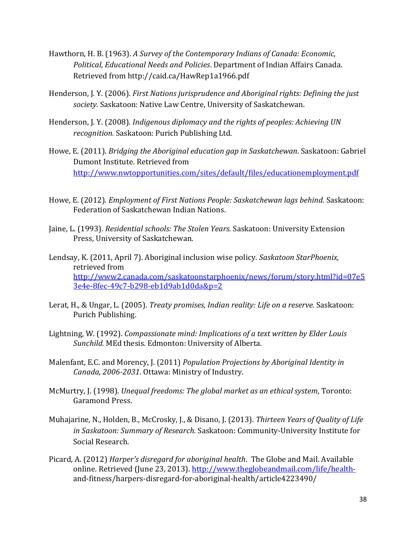- Hawthorn, H. B. (1963). *A Survey of the Contemporary Indians of Canada: Economic, Political, Educational Needs and Policies*. Department of Indian Affairs Canada. Retrieved from http://caid.ca/HawRep1a1966.pdf
- Henderson, J. Y. (2006). *First Nations jurisprudence and Aboriginal rights: Defining the just society.* Saskatoon: Native Law Centre, University of Saskatchewan.
- Henderson, J. Y. (2008). *Indigenous diplomacy and the rights of peoples: Achieving UN recognition.* Saskatoon: Purich Publishing Ltd.
- Howe, E. (2011). *Bridging the Aboriginal education gap in Saskatchewan*. Saskatoon: Gabriel Dumont Institute. Retrieved from <http://www.nwtopportunities.com/sites/default/files/educationemployment.pdf>
- Howe, E. (2012). *Employment of First Nations People: Saskatchewan lags behind.* Saskatoon: Federation of Saskatchewan Indian Nations.
- Jaine, L. (1993). *Residential schools: The Stolen Years.* Saskatoon: University Extension Press, University of Saskatchewan.
- Lendsay, K. (2011, April 7). Aboriginal inclusion wise policy. *Saskatoon StarPhoenix,*  retrieved from [http://www2.canada.com/saskatoonstarphoenix/news/forum/story.html?id=07e5](http://www2.canada.com/saskatoonstarphoenix/news/forum/story.html?id=07e53e4e-8fec-49c7-b298-eb1d9ab1d0da&p=2) [3e4e-8fec-49c7-b298-eb1d9ab1d0da&p=2](http://www2.canada.com/saskatoonstarphoenix/news/forum/story.html?id=07e53e4e-8fec-49c7-b298-eb1d9ab1d0da&p=2)
- Lerat, H., & Ungar, L. (2005). *Treaty promises, Indian reality: Life on a reserve.* Saskatoon: Purich Publishing.
- Lightning, W. (1992). *Compassionate mind: Implications of a text written by Elder Louis Sunchild.* MEd thesis. Edmonton: University of Alberta.
- Malenfant, E.C. and Morency, J. (2011) *Population Projections by Aboriginal Identity in Canada, 2006-2031*. Ottawa: Ministry of Industry.
- McMurtry, J. (1998). *Unequal freedoms: The global market as an ethical system*, Toronto: Garamond Press.
- Muhajarine, N., Holden, B., McCrosky, J., & Disano, J. (2013). *Thirteen Years of Quality of Life in Saskatoon: Summary of Research.* Saskatoon: Community-University Institute for Social Research.
- Picard, A. (2012) *Harper's disregard for aboriginal health*. The Globe and Mail. Available online. Retrieved (June 23, 2013). [http://www.theglobeandmail.com/life/health](http://www.theglobeandmail.com/life/health-)and-fitness/harpers-disregard-for-aboriginal-health/article4223490/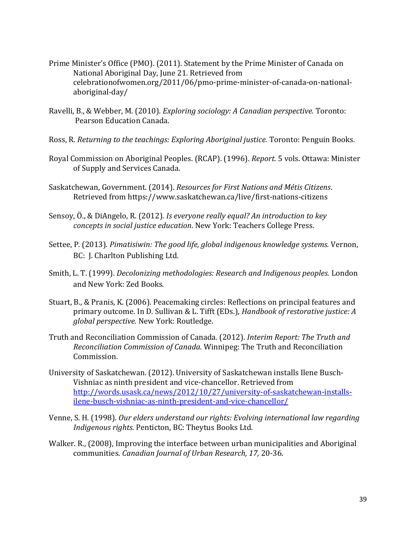- Prime Minister's Office (PMO). (2011). Statement by the Prime Minister of Canada on National Aboriginal Day, June 21. Retrieved from celebrationofwomen.org/2011/06/pmo-prime-minister-of-canada-on-nationalaboriginal-day/
- Ravelli, B., & Webber, M. (2010). *Exploring sociology: A Canadian perspective.* Toronto: Pearson Education Canada.
- Ross, R. *Returning to the teachings: Exploring Aboriginal justice.* Toronto: Penguin Books.
- Royal Commission on Aboriginal Peoples. (RCAP). (1996). *Report.* 5 vols. Ottawa: Minister of Supply and Services Canada.
- Saskatchewan, Government. (2014). *Resources for First Nations and Métis Citizens*. Retrieved from https://www.saskatchewan.ca/live/first-nations-citizens
- Sensoy, Ö., & DiAngelo, R. (2012). *Is everyone really equal? An introduction to key concepts in social justice education*. New York: Teachers College Press.
- Settee, P. (2013). *Pimatisiwin: The good life, global indigenous knowledge systems.* Vernon, BC: J. Charlton Publishing Ltd.
- Smith, L. T. (1999). *Decolonizing methodologies: Research and Indigenous peoples.* London and New York: Zed Books.
- Stuart, B., & Pranis, K. (2006). Peacemaking circles: Reflections on principal features and primary outcome. In D. Sullivan & L. Tifft (EDs.), *Handbook of restorative justice: A global perspective.* New York: Routledge.
- Truth and Reconciliation Commission of Canada. (2012). *Interim Report: The Truth and Reconciliation Commission of Canada.* Winnipeg: The Truth and Reconciliation Commission.
- University of Saskatchewan. (2012). University of Saskatchewan installs Ilene Busch-Vishniac as ninth president and vice-chancellor. Retrieved from [http://words.usask.ca/news/2012/10/27/university-of-saskatchewan-installs](http://words.usask.ca/news/2012/10/27/university-of-saskatchewan-installs-ilene-busch-vishniac-as-ninth-president-and-vice-chancellor/)[ilene-busch-vishniac-as-ninth-president-and-vice-chancellor/](http://words.usask.ca/news/2012/10/27/university-of-saskatchewan-installs-ilene-busch-vishniac-as-ninth-president-and-vice-chancellor/)
- Venne, S. H. (1998). *Our elders understand our rights: Evolving international law regarding Indigenous rights.* Penticton, BC: Theytus Books Ltd.
- Walker. R., (2008), Improving the interface between urban municipalities and Aboriginal communities. *Canadian Journal of Urban Research, 17,* 20-36.